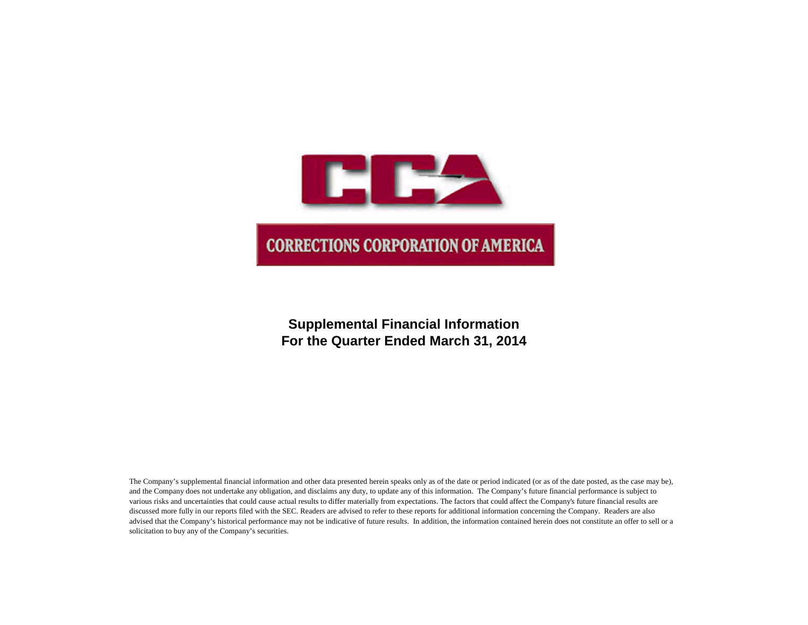

# **Supplemental Financial Information For the Quarter Ended March 31, 2014**

The Company's supplemental financial information and other data presented herein speaks only as of the date or period indicated (or as of the date posted, as the case may be), and the Company does not undertake any obligation, and disclaims any duty, to update any of this information. The Company's future financial performance is subject to various risks and uncertainties that could cause actual results to differ materially from expectations. The factors that could affect the Company's future financial results are discussed more fully in our reports filed with the SEC. Readers are advised to refer to these reports for additional information concerning the Company. Readers are also advised that the Company's historical performance may not be indicative of future results. In addition, the information contained herein does not constitute an offer to sell or a solicitation to buy any of the Company's securities.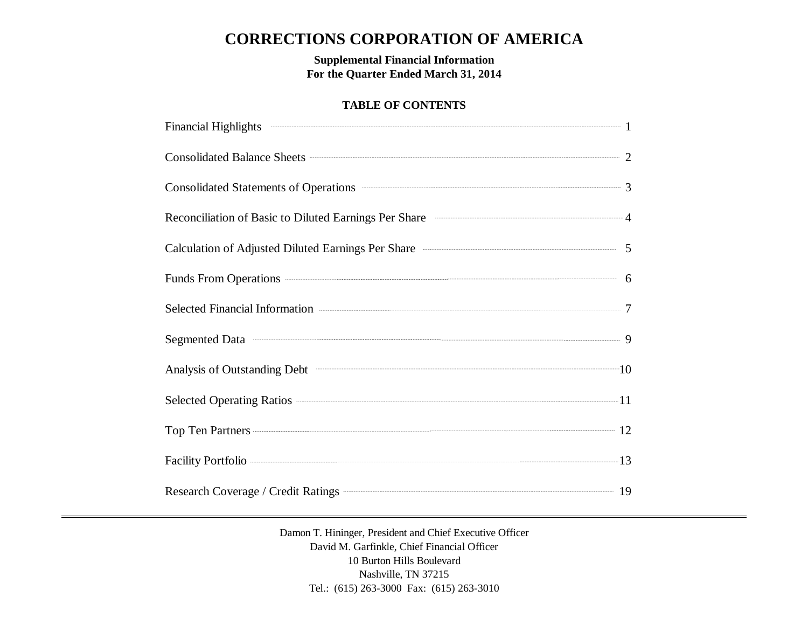# **CORRECTIONS CORPORATION OF AMERICA**

**Supplemental Financial Information For the Quarter Ended March 31, 2014**

# **TABLE OF CONTENTS**

| Consolidated Balance Sheets 2                                                                                                                                                                                                                            |  |
|----------------------------------------------------------------------------------------------------------------------------------------------------------------------------------------------------------------------------------------------------------|--|
| Consolidated Statements of Operations <b>Consolidated Statements</b> of Operations <b>Consolidated Statements</b> of Operations <b>Consolidated Statements</b> of Operations <b>Consolidated Statements</b> of Operations <b>Consolidated Statements</b> |  |
| Reconciliation of Basic to Diluted Earnings Per Share <b>Constanting According to A</b>                                                                                                                                                                  |  |
| Calculation of Adjusted Diluted Earnings Per Share <b>Calculation</b> of Adjusted Diluted Earnings Per Share                                                                                                                                             |  |
| Funds From Operations 6                                                                                                                                                                                                                                  |  |
| Selected Financial Information <b>Contact Selected</b> Financial Information <b>Contact Selected</b>                                                                                                                                                     |  |
| Segmented Data 30 million of the second series of the series of the series of the series of the series of the series of the series of the series of the series of the series of the series of the series of the series of the                            |  |
|                                                                                                                                                                                                                                                          |  |
| Selected Operating Ratios 2014 11                                                                                                                                                                                                                        |  |
| Top Ten Partners 22                                                                                                                                                                                                                                      |  |
| Facility Portfolio 23                                                                                                                                                                                                                                    |  |
| Research Coverage / Credit Ratings <b>Construction</b> 19                                                                                                                                                                                                |  |

Damon T. Hininger, President and Chief Executive Officer David M. Garfinkle, Chief Financial Officer 10 Burton Hills Boulevard Nashville, TN 37215 Tel.: (615) 263-3000 Fax: (615) 263-3010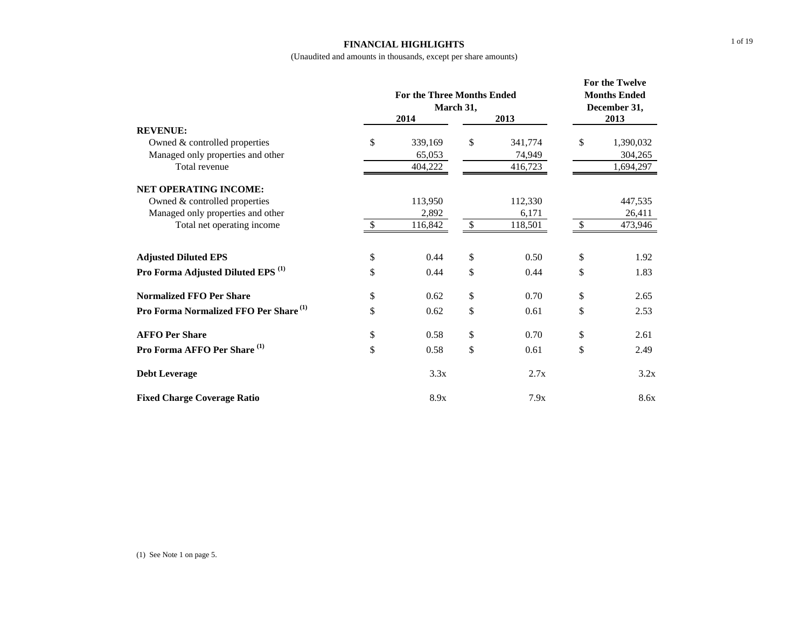#### **FINANCIAL HIGHLIGHTS**

|                                                   |               | <b>For the Three Months Ended</b><br>March 31, | For the Twelve<br><b>Months Ended</b><br>December 31, |         |    |           |
|---------------------------------------------------|---------------|------------------------------------------------|-------------------------------------------------------|---------|----|-----------|
| <b>REVENUE:</b>                                   |               | 2014                                           |                                                       | 2013    |    | 2013      |
| Owned & controlled properties                     | \$            | 339,169                                        | \$                                                    | 341,774 | \$ | 1,390,032 |
| Managed only properties and other                 |               | 65,053                                         |                                                       | 74,949  |    | 304,265   |
| Total revenue                                     |               | 404,222                                        |                                                       | 416,723 |    | 1,694,297 |
| <b>NET OPERATING INCOME:</b>                      |               |                                                |                                                       |         |    |           |
| Owned & controlled properties                     |               | 113,950                                        |                                                       | 112,330 |    | 447,535   |
| Managed only properties and other                 |               | 2,892                                          |                                                       | 6,171   |    | 26,411    |
| Total net operating income                        | <sup>\$</sup> | 116,842                                        | $\mathcal{S}$                                         | 118,501 | \$ | 473,946   |
| <b>Adjusted Diluted EPS</b>                       | \$            | 0.44                                           | \$                                                    | 0.50    | \$ | 1.92      |
| Pro Forma Adjusted Diluted EPS <sup>(1)</sup>     | \$            | 0.44                                           | \$                                                    | 0.44    | \$ | 1.83      |
| <b>Normalized FFO Per Share</b>                   | \$            | 0.62                                           | \$                                                    | 0.70    | \$ | 2.65      |
| Pro Forma Normalized FFO Per Share <sup>(1)</sup> | \$            | 0.62                                           | \$                                                    | 0.61    | \$ | 2.53      |
| <b>AFFO Per Share</b>                             | \$            | 0.58                                           | \$                                                    | 0.70    | \$ | 2.61      |
| Pro Forma AFFO Per Share <sup>(1)</sup>           | \$            | 0.58                                           | \$                                                    | 0.61    | \$ | 2.49      |
| <b>Debt Leverage</b>                              |               | 3.3x                                           |                                                       | 2.7x    |    | 3.2x      |
| <b>Fixed Charge Coverage Ratio</b>                |               | 8.9x                                           |                                                       | 7.9x    |    | 8.6x      |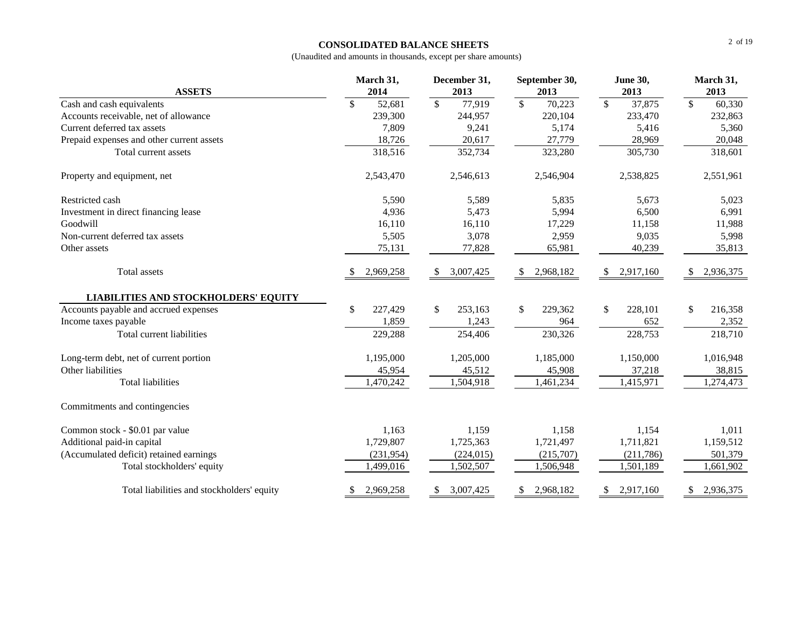### **CONSOLIDATED BALANCE SHEETS**

| <b>ASSETS</b>                               | March 31,<br>2014 | December 31,<br>2013    | September 30,<br>2013              | <b>June 30,</b><br>2013            | March 31,<br>2013                  |
|---------------------------------------------|-------------------|-------------------------|------------------------------------|------------------------------------|------------------------------------|
| Cash and cash equivalents                   | \$<br>52,681      | $\mathcal{S}$<br>77,919 | $\overline{\mathcal{S}}$<br>70,223 | $\overline{\mathcal{S}}$<br>37,875 | $\overline{\mathcal{S}}$<br>60,330 |
| Accounts receivable, net of allowance       | 239,300           | 244,957                 | 220,104                            | 233,470                            | 232,863                            |
| Current deferred tax assets                 | 7,809             | 9,241                   | 5,174                              | 5,416                              | 5,360                              |
| Prepaid expenses and other current assets   | 18,726            | 20,617                  | 27,779                             | 28,969                             | 20,048                             |
| Total current assets                        | 318,516           | 352,734                 | 323,280                            | 305,730                            | 318,601                            |
| Property and equipment, net                 | 2,543,470         | 2,546,613               | 2,546,904                          | 2,538,825                          | 2,551,961                          |
| Restricted cash                             | 5,590             | 5,589                   | 5,835                              | 5,673                              | 5,023                              |
| Investment in direct financing lease        | 4,936             | 5,473                   | 5,994                              | 6,500                              | 6,991                              |
| Goodwill                                    | 16,110            | 16,110                  | 17,229                             | 11,158                             | 11,988                             |
| Non-current deferred tax assets             | 5,505             | 3,078                   | 2,959                              | 9,035                              | 5,998                              |
| Other assets                                | 75,131            | 77,828                  | 65,981                             | 40,239                             | 35,813                             |
| Total assets                                | 2,969,258         | 3,007,425<br>-S         | 2,968,182                          | 2,917,160<br>S.                    | 2,936,375<br>S                     |
| <b>LIABILITIES AND STOCKHOLDERS' EQUITY</b> |                   |                         |                                    |                                    |                                    |
| Accounts payable and accrued expenses       | \$<br>227,429     | \$<br>253,163           | \$<br>229,362                      | \$<br>228,101                      | \$<br>216,358                      |
| Income taxes payable                        | 1,859             | 1,243                   | 964                                | 652                                | 2,352                              |
| Total current liabilities                   | 229,288           | 254,406                 | 230,326                            | 228,753                            | 218,710                            |
| Long-term debt, net of current portion      | 1,195,000         | 1,205,000               | 1,185,000                          | 1,150,000                          | 1,016,948                          |
| Other liabilities                           | 45,954            | 45,512                  | 45,908                             | 37,218                             | 38,815                             |
| <b>Total liabilities</b>                    | 1,470,242         | 1,504,918               | 1,461,234                          | 1,415,971                          | 1,274,473                          |
| Commitments and contingencies               |                   |                         |                                    |                                    |                                    |
| Common stock - \$0.01 par value             | 1,163             | 1,159                   | 1,158                              | 1,154                              | 1,011                              |
| Additional paid-in capital                  | 1,729,807         | 1,725,363               | 1,721,497                          | 1,711,821                          | 1,159,512                          |
| (Accumulated deficit) retained earnings     | (231,954)         | (224, 015)              | (215,707)                          | (211,786)                          | 501,379                            |
| Total stockholders' equity                  | 1,499,016         | 1,502,507               | 1,506,948                          | 1,501,189                          | 1,661,902                          |
| Total liabilities and stockholders' equity  | 2,969,258         | 3,007,425<br>S          | 2,968,182<br>\$.                   | 2,917,160<br>\$                    | 2,936,375<br>S.                    |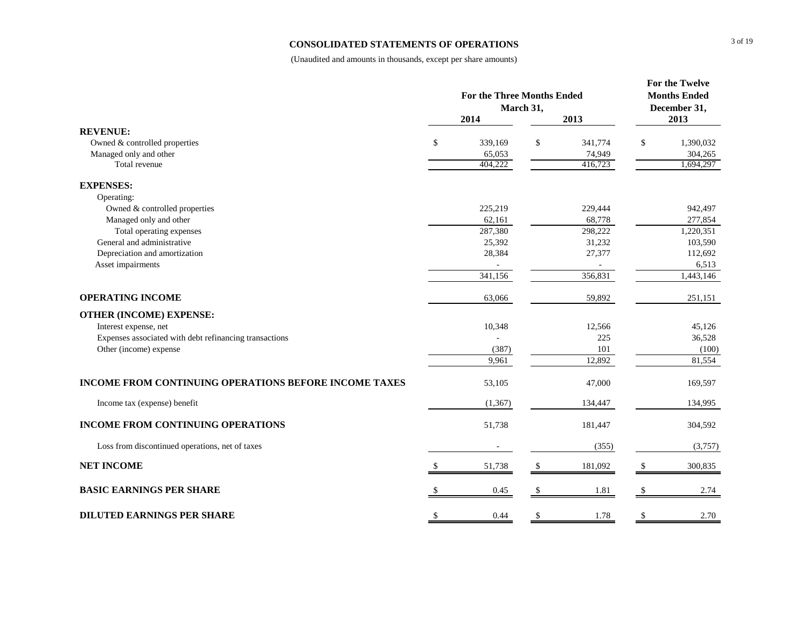### **CONSOLIDATED STATEMENTS OF OPERATIONS**

|                                                              | <b>For the Three Months Ended</b> |          |           |         |    | For the Twelve<br><b>Months Ended</b> |  |
|--------------------------------------------------------------|-----------------------------------|----------|-----------|---------|----|---------------------------------------|--|
|                                                              |                                   | 2014     | March 31, | 2013    |    | December 31,<br>2013                  |  |
| <b>REVENUE:</b>                                              |                                   |          |           |         |    |                                       |  |
| Owned & controlled properties                                | \$                                | 339,169  | \$        | 341,774 | \$ | 1,390,032                             |  |
| Managed only and other                                       |                                   | 65,053   |           | 74,949  |    | 304,265                               |  |
| Total revenue                                                |                                   | 404.222  |           | 416,723 |    | 1,694,297                             |  |
| <b>EXPENSES:</b>                                             |                                   |          |           |         |    |                                       |  |
| Operating:                                                   |                                   |          |           |         |    |                                       |  |
| Owned & controlled properties                                |                                   | 225,219  |           | 229,444 |    | 942,497                               |  |
| Managed only and other                                       |                                   | 62,161   |           | 68,778  |    | 277,854                               |  |
| Total operating expenses                                     |                                   | 287,380  |           | 298,222 |    | 1,220,351                             |  |
| General and administrative                                   |                                   | 25,392   |           | 31,232  |    | 103,590                               |  |
| Depreciation and amortization                                |                                   | 28,384   |           | 27,377  |    | 112,692                               |  |
| Asset impairments                                            |                                   |          |           |         |    | 6,513                                 |  |
|                                                              |                                   | 341,156  |           | 356,831 |    | 1,443,146                             |  |
| <b>OPERATING INCOME</b>                                      |                                   | 63,066   |           | 59,892  |    | 251,151                               |  |
| <b>OTHER (INCOME) EXPENSE:</b>                               |                                   |          |           |         |    |                                       |  |
| Interest expense, net                                        |                                   | 10,348   |           | 12,566  |    | 45,126                                |  |
| Expenses associated with debt refinancing transactions       |                                   |          |           | 225     |    | 36,528                                |  |
| Other (income) expense                                       |                                   | (387)    |           | 101     |    | (100)                                 |  |
|                                                              |                                   | 9,961    |           | 12,892  |    | 81,554                                |  |
| <b>INCOME FROM CONTINUING OPERATIONS BEFORE INCOME TAXES</b> |                                   | 53,105   |           | 47,000  |    | 169,597                               |  |
| Income tax (expense) benefit                                 |                                   | (1, 367) |           | 134,447 |    | 134,995                               |  |
| <b>INCOME FROM CONTINUING OPERATIONS</b>                     |                                   | 51,738   |           | 181,447 |    | 304,592                               |  |
| Loss from discontinued operations, net of taxes              |                                   |          |           | (355)   |    | (3,757)                               |  |
| <b>NET INCOME</b>                                            |                                   | 51,738   | \$        | 181,092 | -S | 300,835                               |  |
| <b>BASIC EARNINGS PER SHARE</b>                              |                                   | 0.45     |           | 1.81    |    | 2.74                                  |  |
| <b>DILUTED EARNINGS PER SHARE</b>                            | \$                                | 0.44     | \$        | 1.78    | \$ | 2.70                                  |  |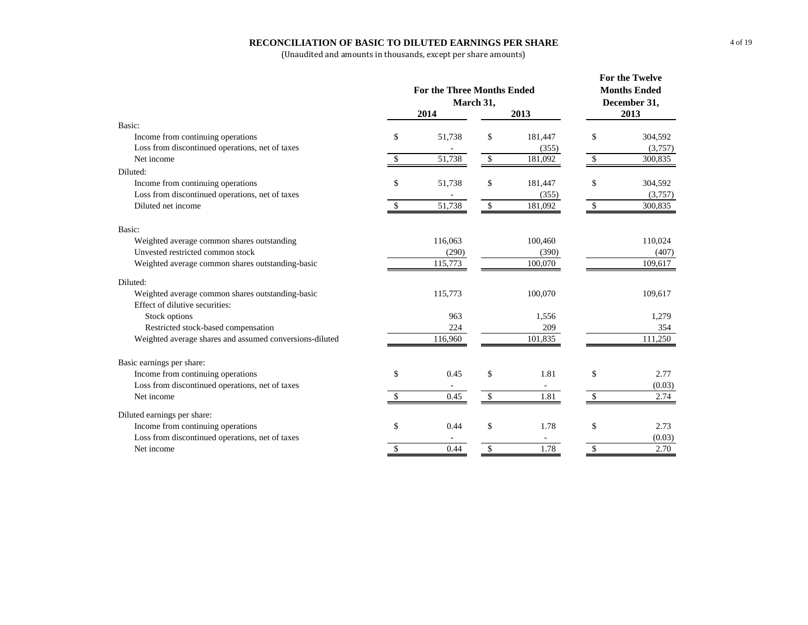#### **RECONCILIATION OF BASIC TO DILUTED EARNINGS PER SHARE**

|                                                         | <b>For the Three Months Ended</b><br>March 31, | For the Twelve<br><b>Months Ended</b><br>December 31, |         |                          |         |
|---------------------------------------------------------|------------------------------------------------|-------------------------------------------------------|---------|--------------------------|---------|
|                                                         | 2014                                           |                                                       | 2013    | 2013                     |         |
| Basic:                                                  |                                                |                                                       |         |                          |         |
| Income from continuing operations                       | \$<br>51,738                                   | \$                                                    | 181,447 | \$                       | 304,592 |
| Loss from discontinued operations, net of taxes         |                                                |                                                       | (355)   |                          | (3,757) |
| Net income                                              | \$<br>51,738                                   | $\sqrt{3}$                                            | 181,092 | $\overline{\mathcal{S}}$ | 300,835 |
| Diluted:                                                |                                                |                                                       |         |                          |         |
| Income from continuing operations                       | \$<br>51,738                                   | \$                                                    | 181,447 | \$                       | 304,592 |
| Loss from discontinued operations, net of taxes         |                                                |                                                       | (355)   |                          | (3,757) |
| Diluted net income                                      | \$<br>51,738                                   | $\mathbb{S}$                                          | 181,092 | \$                       | 300,835 |
| Basic:                                                  |                                                |                                                       |         |                          |         |
| Weighted average common shares outstanding              | 116,063                                        |                                                       | 100,460 |                          | 110,024 |
| Unvested restricted common stock                        | (290)                                          |                                                       | (390)   |                          | (407)   |
| Weighted average common shares outstanding-basic        | 115,773                                        |                                                       | 100,070 |                          | 109,617 |
| Diluted:                                                |                                                |                                                       |         |                          |         |
| Weighted average common shares outstanding-basic        | 115,773                                        |                                                       | 100,070 |                          | 109,617 |
| Effect of dilutive securities:                          |                                                |                                                       |         |                          |         |
| Stock options                                           | 963                                            |                                                       | 1,556   |                          | 1,279   |
| Restricted stock-based compensation                     | 224                                            |                                                       | 209     |                          | 354     |
| Weighted average shares and assumed conversions-diluted | 116,960                                        |                                                       | 101,835 |                          | 111,250 |
| Basic earnings per share:                               |                                                |                                                       |         |                          |         |
| Income from continuing operations                       | \$<br>0.45                                     | \$                                                    | 1.81    | \$                       | 2.77    |
| Loss from discontinued operations, net of taxes         |                                                |                                                       |         |                          | (0.03)  |
| Net income                                              | 0.45                                           | $\sqrt{\frac{1}{2}}$                                  | 1.81    | $\mathbb{S}$             | 2.74    |
| Diluted earnings per share:                             |                                                |                                                       |         |                          |         |
| Income from continuing operations                       | \$<br>0.44                                     | \$                                                    | 1.78    | \$                       | 2.73    |
| Loss from discontinued operations, net of taxes         |                                                |                                                       |         |                          | (0.03)  |
| Net income                                              | \$<br>0.44                                     | \$                                                    | 1.78    | $\mathbb{S}$             | 2.70    |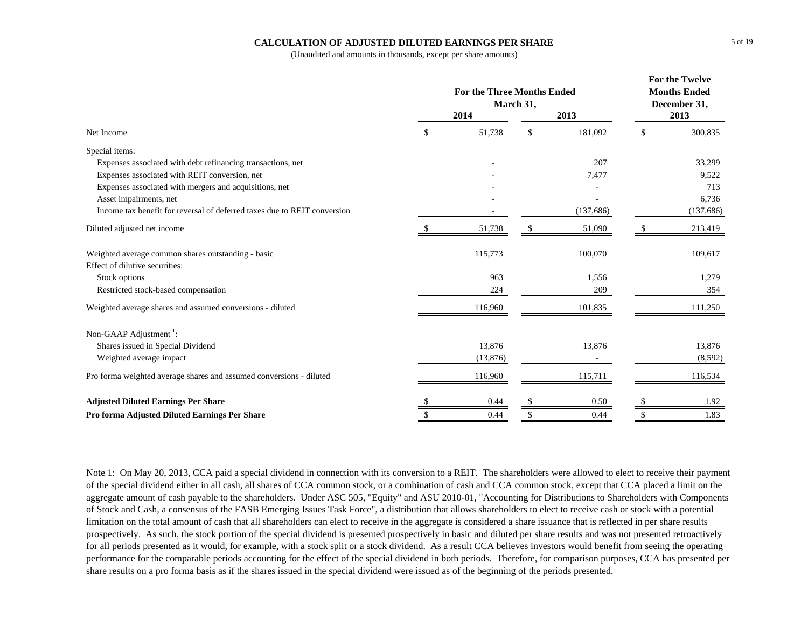## **CALCULATION OF ADJUSTED DILUTED EARNINGS PER SHARE**

(Unaudited and amounts in thousands, except per share amounts)

|                                                                          | <b>For the Three Months Ended</b><br>March 31, | For the Twelve<br><b>Months Ended</b><br>December 31, |           |      |            |
|--------------------------------------------------------------------------|------------------------------------------------|-------------------------------------------------------|-----------|------|------------|
|                                                                          | 2014                                           |                                                       | 2013      | 2013 |            |
| Net Income                                                               | \$<br>51,738                                   | \$                                                    | 181,092   | \$   | 300,835    |
| Special items:                                                           |                                                |                                                       |           |      |            |
| Expenses associated with debt refinancing transactions, net              |                                                |                                                       | 207       |      | 33,299     |
| Expenses associated with REIT conversion, net                            |                                                |                                                       | 7,477     |      | 9,522      |
| Expenses associated with mergers and acquisitions, net                   |                                                |                                                       |           |      | 713        |
| Asset impairments, net                                                   |                                                |                                                       |           |      | 6,736      |
| Income tax benefit for reversal of deferred taxes due to REIT conversion |                                                |                                                       | (137,686) |      | (137, 686) |
| Diluted adjusted net income                                              | 51,738                                         |                                                       | 51,090    |      | 213,419    |
| Weighted average common shares outstanding - basic                       | 115,773                                        |                                                       | 100,070   |      | 109,617    |
| Effect of dilutive securities:                                           |                                                |                                                       |           |      |            |
| Stock options                                                            | 963                                            |                                                       | 1,556     |      | 1,279      |
| Restricted stock-based compensation                                      | 224                                            |                                                       | 209       |      | 354        |
| Weighted average shares and assumed conversions - diluted                | 116,960                                        |                                                       | 101,835   |      | 111,250    |
| Non-GAAP Adjustment <sup>1</sup> :                                       |                                                |                                                       |           |      |            |
| Shares issued in Special Dividend                                        | 13,876                                         |                                                       | 13,876    |      | 13,876     |
| Weighted average impact                                                  | (13,876)                                       |                                                       |           |      | (8,592)    |
| Pro forma weighted average shares and assumed conversions - diluted      | 116,960                                        |                                                       | 115,711   |      | 116,534    |
| <b>Adjusted Diluted Earnings Per Share</b>                               | 0.44                                           | <sup>\$</sup>                                         | 0.50      |      | 1.92       |
| Pro forma Adjusted Diluted Earnings Per Share                            | 0.44                                           | \$                                                    | 0.44      | \$   | 1.83       |

Note 1: On May 20, 2013, CCA paid a special dividend in connection with its conversion to a REIT. The shareholders were allowed to elect to receive their payment of the special dividend either in all cash, all shares of CCA common stock, or a combination of cash and CCA common stock, except that CCA placed a limit on the aggregate amount of cash payable to the shareholders. Under ASC 505, "Equity" and ASU 2010-01, "Accounting for Distributions to Shareholders with Components of Stock and Cash, a consensus of the FASB Emerging Issues Task Force", a distribution that allows shareholders to elect to receive cash or stock with a potential limitation on the total amount of cash that all shareholders can elect to receive in the aggregate is considered a share issuance that is reflected in per share results prospectively. As such, the stock portion of the special dividend is presented prospectively in basic and diluted per share results and was not presented retroactively for all periods presented as it would, for example, with a stock split or a stock dividend. As a result CCA believes investors would benefit from seeing the operating performance for the comparable periods accounting for the effect of the special dividend in both periods. Therefore, for comparison purposes, CCA has presented per share results on a pro forma basis as if the shares issued in the special dividend were issued as of the beginning of the periods presented.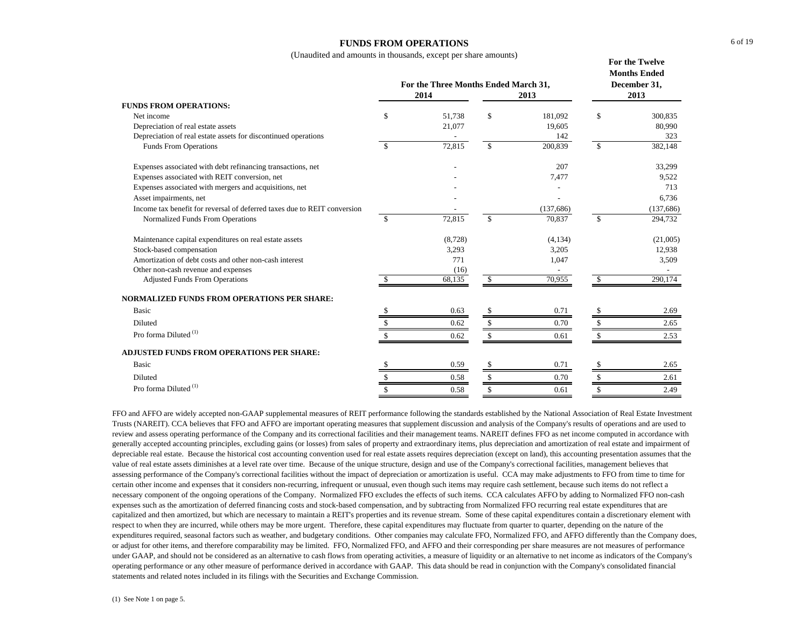## **FUNDS FROM OPERATIONS**

(Unaudited and amounts in thousands, except per share amounts)

|                                                                          |     | For the Three Months Ended March 31,<br>2014 |               | <b>Months Ended</b><br>December 31,<br>2013 |               |            |
|--------------------------------------------------------------------------|-----|----------------------------------------------|---------------|---------------------------------------------|---------------|------------|
| <b>FUNDS FROM OPERATIONS:</b>                                            |     |                                              |               |                                             |               |            |
| Net income                                                               | \$  | 51,738                                       | \$            | 181,092                                     | $\mathcal{S}$ | 300,835    |
| Depreciation of real estate assets                                       |     | 21,077                                       |               | 19.605                                      |               | 80,990     |
| Depreciation of real estate assets for discontinued operations           |     |                                              |               | 142                                         |               | 323        |
| <b>Funds From Operations</b>                                             | \$  | 72,815                                       | \$            | 200,839                                     | <sup>\$</sup> | 382,148    |
| Expenses associated with debt refinancing transactions, net              |     |                                              |               | 207                                         |               | 33,299     |
| Expenses associated with REIT conversion, net                            |     |                                              |               | 7,477                                       |               | 9,522      |
| Expenses associated with mergers and acquisitions, net                   |     |                                              |               |                                             |               | 713        |
| Asset impairments, net                                                   |     |                                              |               |                                             |               | 6,736      |
| Income tax benefit for reversal of deferred taxes due to REIT conversion |     |                                              |               | (137,686)                                   |               | (137, 686) |
| Normalized Funds From Operations                                         | \$. | 72,815                                       | $\mathcal{S}$ | 70,837                                      | -S            | 294,732    |
| Maintenance capital expenditures on real estate assets                   |     | (8,728)                                      |               | (4,134)                                     |               | (21,005)   |
| Stock-based compensation                                                 |     | 3,293                                        |               | 3,205                                       |               | 12,938     |
| Amortization of debt costs and other non-cash interest                   |     | 771                                          |               | 1,047                                       |               | 3,509      |
| Other non-cash revenue and expenses                                      |     | (16)                                         |               |                                             |               |            |
| <b>Adjusted Funds From Operations</b>                                    |     | 68,135                                       | -S            | 70,955                                      | -SS           | 290,174    |
| <b>NORMALIZED FUNDS FROM OPERATIONS PER SHARE:</b>                       |     |                                              |               |                                             |               |            |
| Basic                                                                    |     | 0.63                                         |               | 0.71                                        |               | 2.69       |
| Diluted                                                                  | S   | 0.62                                         | \$            | 0.70                                        | -S            | 2.65       |
| Pro forma Diluted $^{(1)}$                                               |     | 0.62                                         | S             | 0.61                                        |               | 2.53       |
| <b>ADJUSTED FUNDS FROM OPERATIONS PER SHARE:</b>                         |     |                                              |               |                                             |               |            |
| Basic                                                                    |     | 0.59                                         | S             | 0.71                                        |               | 2.65       |
| Diluted                                                                  | \$  | 0.58                                         | \$.           | 0.70                                        |               | 2.61       |
| Pro forma Diluted <sup>(1)</sup>                                         | \$  | 0.58                                         | S             | 0.61                                        | S             | 2.49       |

FFO and AFFO are widely accepted non-GAAP supplemental measures of REIT performance following the standards established by the National Association of Real Estate Investment Trusts (NAREIT). CCA believes that FFO and AFFO are important operating measures that supplement discussion and analysis of the Company's results of operations and are used to review and assess operating performance of the Company and its correctional facilities and their management teams. NAREIT defines FFO as net income computed in accordance with generally accepted accounting principles, excluding gains (or losses) from sales of property and extraordinary items, plus depreciation and amortization of real estate and impairment of depreciable real estate. Because the historical cost accounting convention used for real estate assets requires depreciation (except on land), this accounting presentation assumes that the value of real estate assets diminishes at a level rate over time. Because of the unique structure, design and use of the Company's correctional facilities, management believes that assessing performance of the Company's correctional facilities without the impact of depreciation or amortization is useful. CCA may make adjustments to FFO from time to time for certain other income and expenses that it considers non-recurring, infrequent or unusual, even though such items may require cash settlement, because such items do not reflect a necessary component of the ongoing operations of the Company. Normalized FFO excludes the effects of such items. CCA calculates AFFO by adding to Normalized FFO non-cash expenses such as the amortization of deferred financing costs and stock-based compensation, and by subtracting from Normalized FFO recurring real estate expenditures that are capitalized and then amortized, but which are necessary to maintain a REIT's properties and its revenue stream. Some of these capital expenditures contain a discretionary element with respect to when they are incurred, while others may be more urgent. Therefore, these capital expenditures may fluctuate from quarter to quarter, depending on the nature of the expenditures required, seasonal factors such as weather, and budgetary conditions. Other companies may calculate FFO, Normalized FFO, and AFFO differently than the Company does, or adjust for other items, and therefore comparability may be limited. FFO, Normalized FFO, and AFFO and their corresponding per share measures are not measures of performance under GAAP, and should not be considered as an alternative to cash flows from operating activities, a measure of liquidity or an alternative to net income as indicators of the Company's operating performance or any other measure of performance derived in accordance with GAAP. This data should be read in conjunction with the Company's consolidated financial statements and related notes included in its filings with the Securities and Exchange Commission.

**For the Twelve**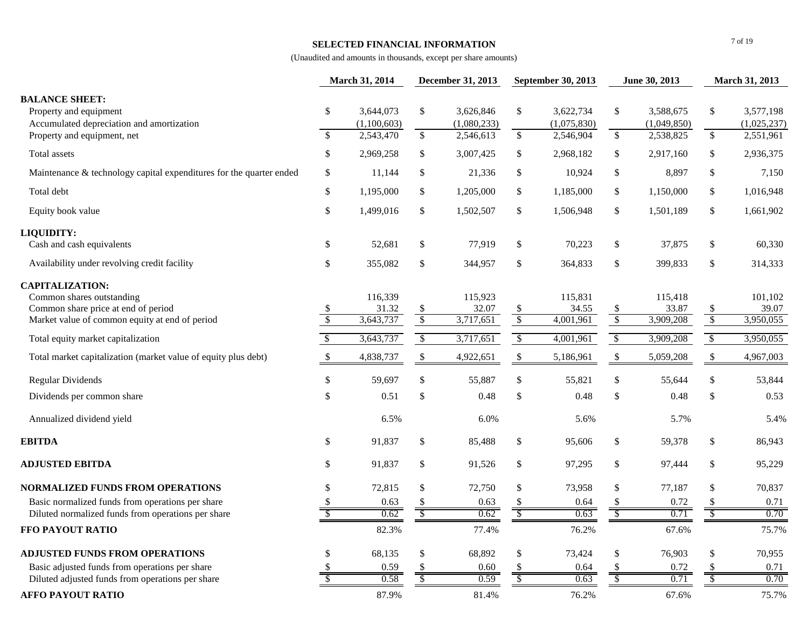### **SELECTED FINANCIAL INFORMATION**

|                                                                                                                                              |                          | March 31, 2014                |                          | December 31, 2013             | September 30, 2013       |                               | June 30, 2013             |                               |                          |                               | <b>March 31, 2013</b> |  |
|----------------------------------------------------------------------------------------------------------------------------------------------|--------------------------|-------------------------------|--------------------------|-------------------------------|--------------------------|-------------------------------|---------------------------|-------------------------------|--------------------------|-------------------------------|-----------------------|--|
| <b>BALANCE SHEET:</b><br>Property and equipment<br>Accumulated depreciation and amortization                                                 | \$                       | 3,644,073<br>(1,100,603)      | \$                       | 3,626,846<br>(1,080,233)      | \$                       | 3,622,734<br>(1,075,830)      | \$                        | 3,588,675<br>(1,049,850)      | \$                       | 3,577,198<br>(1,025,237)      |                       |  |
| Property and equipment, net                                                                                                                  | $\overline{\mathcal{S}}$ | 2,543,470                     | $\mathbb{S}$             | 2,546,613                     | $\mathbb{S}$             | 2,546,904                     | $\overline{\mathcal{S}}$  | 2,538,825                     | \$                       | 2,551,961                     |                       |  |
| Total assets                                                                                                                                 | \$                       | 2,969,258                     | \$                       | 3,007,425                     | $\$\,$                   | 2,968,182                     | \$                        | 2,917,160                     | \$                       | 2,936,375                     |                       |  |
| Maintenance & technology capital expenditures for the quarter ended                                                                          | \$                       | 11,144                        | \$                       | 21,336                        | \$                       | 10,924                        | \$                        | 8,897                         | \$                       | 7,150                         |                       |  |
| Total debt                                                                                                                                   | \$                       | 1,195,000                     | \$                       | 1,205,000                     | $\$\$                    | 1,185,000                     | \$                        | 1,150,000                     | \$                       | 1,016,948                     |                       |  |
| Equity book value                                                                                                                            | \$                       | 1,499,016                     | \$                       | 1,502,507                     | \$                       | 1,506,948                     | $\mathbb{S}$              | 1,501,189                     | \$                       | 1,661,902                     |                       |  |
| LIQUIDITY:<br>Cash and cash equivalents                                                                                                      | \$                       | 52,681                        | \$                       | 77,919                        | \$                       | 70,223                        | \$                        | 37,875                        | \$                       | 60,330                        |                       |  |
| Availability under revolving credit facility                                                                                                 | \$                       | 355,082                       | \$                       | 344,957                       | \$                       | 364,833                       | \$                        | 399,833                       | \$                       | 314,333                       |                       |  |
| <b>CAPITALIZATION:</b><br>Common shares outstanding<br>Common share price at end of period<br>Market value of common equity at end of period | \$<br>$\sqrt{3}$         | 116,339<br>31.32<br>3,643,737 | $\frac{1}{2}$<br>$\sqrt$ | 115,923<br>32.07<br>3,717,651 | $\frac{1}{3}$            | 115,831<br>34.55<br>4,001,961 | $\frac{\$}{\$}$           | 115,418<br>33.87<br>3,909,208 | -S<br>$\sqrt{3}$         | 101,102<br>39.07<br>3,950,055 |                       |  |
| Total equity market capitalization                                                                                                           | $\sqrt{2}$               | 3,643,737                     | $\sqrt{\frac{2}{5}}$     | 3,717,651                     | $\sqrt{2}$               | 4,001,961                     | $\sqrt{2}$                | 3,909,208                     | $\sqrt{3}$               | 3,950,055                     |                       |  |
| Total market capitalization (market value of equity plus debt)                                                                               | $\$\,$                   | 4,838,737                     | \$                       | 4,922,651                     | $\$$                     | 5,186,961                     | $\boldsymbol{\mathsf{S}}$ | 5,059,208                     | \$                       | 4,967,003                     |                       |  |
| <b>Regular Dividends</b>                                                                                                                     | \$                       | 59,697                        | \$                       | 55,887                        | \$                       | 55,821                        | \$                        | 55,644                        | \$                       | 53,844                        |                       |  |
| Dividends per common share                                                                                                                   | \$                       | 0.51                          | \$                       | 0.48                          | \$                       | 0.48                          | \$                        | 0.48                          | \$                       | 0.53                          |                       |  |
| Annualized dividend yield                                                                                                                    |                          | 6.5%                          |                          | 6.0%                          |                          | 5.6%                          |                           | 5.7%                          |                          | 5.4%                          |                       |  |
| <b>EBITDA</b>                                                                                                                                | \$                       | 91,837                        | \$                       | 85,488                        | \$                       | 95,606                        | \$                        | 59,378                        | \$                       | 86,943                        |                       |  |
| <b>ADJUSTED EBITDA</b>                                                                                                                       | \$                       | 91,837                        | \$                       | 91,526                        | $\mathbb{S}$             | 97,295                        | \$                        | 97,444                        | \$                       | 95,229                        |                       |  |
| <b>NORMALIZED FUNDS FROM OPERATIONS</b>                                                                                                      | \$                       | 72,815                        | \$                       | 72,750                        | \$                       | 73,958                        | \$                        | 77,187                        | \$                       | 70,837                        |                       |  |
| Basic normalized funds from operations per share                                                                                             | \$                       | 0.63                          | \$                       | 0.63                          | \$                       | 0.64                          | \$                        | 0.72                          | \$                       | 0.71                          |                       |  |
| Diluted normalized funds from operations per share                                                                                           | $\overline{\mathcal{S}}$ | 0.62                          | $\overline{\mathcal{S}}$ | 0.62                          | $\sqrt{\frac{2}{\pi}}$   | 0.63                          | $\sqrt{\frac{2}{\pi}}$    | 0.71                          | $\sqrt[6]{\frac{1}{2}}$  | 0.70                          |                       |  |
| FFO PAYOUT RATIO                                                                                                                             |                          | 82.3%                         |                          | 77.4%                         |                          | 76.2%                         |                           | 67.6%                         |                          | 75.7%                         |                       |  |
| <b>ADJUSTED FUNDS FROM OPERATIONS</b>                                                                                                        | \$                       | 68,135                        | \$                       | 68,892                        | \$                       | 73,424                        | \$                        | 76,903                        | \$                       | 70,955                        |                       |  |
| Basic adjusted funds from operations per share                                                                                               | \$.                      | 0.59                          |                          | 0.60                          |                          | 0.64                          |                           | 0.72                          |                          | 0.71                          |                       |  |
| Diluted adjusted funds from operations per share                                                                                             | $\overline{\mathcal{S}}$ | 0.58                          | $\overline{\mathcal{S}}$ | 0.59                          | $\overline{\mathcal{S}}$ | 0.63                          | $\mathcal{S}$             | 0.71                          | $\overline{\mathcal{S}}$ | 0.70                          |                       |  |
| <b>AFFO PAYOUT RATIO</b>                                                                                                                     |                          | 87.9%                         |                          | 81.4%                         |                          | 76.2%                         |                           | 67.6%                         |                          | 75.7%                         |                       |  |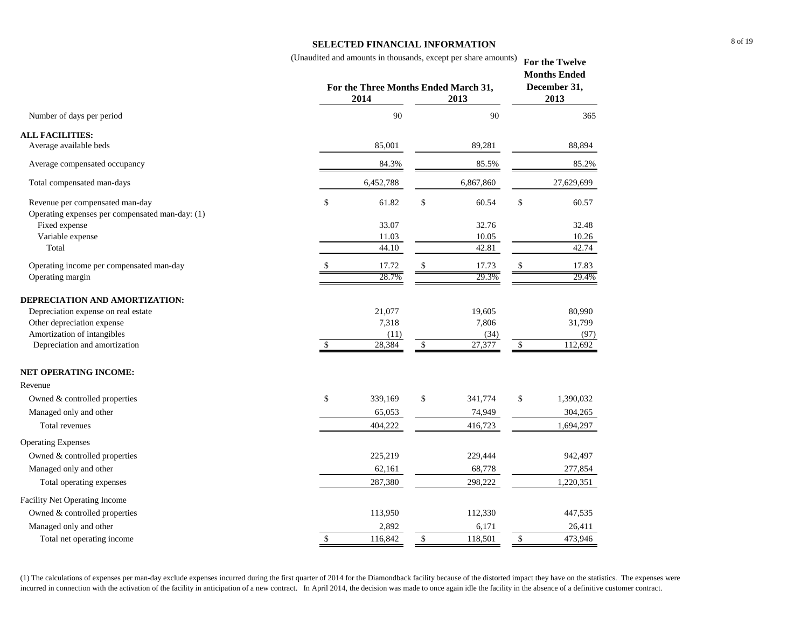## **SELECTED FINANCIAL INFORMATION**

|                                                 |            | (Unaudited and amounts in thousands, except per share amounts) |           | For the Twelve<br><b>Months Ended</b><br>December 31, |            |  |
|-------------------------------------------------|------------|----------------------------------------------------------------|-----------|-------------------------------------------------------|------------|--|
|                                                 |            | For the Three Months Ended March 31,<br>2014<br>2013           |           |                                                       |            |  |
| Number of days per period                       |            | 90                                                             | 90        |                                                       | 365        |  |
| <b>ALL FACILITIES:</b>                          |            |                                                                |           |                                                       |            |  |
| Average available beds                          |            | 85,001                                                         | 89,281    |                                                       | 88,894     |  |
| Average compensated occupancy                   |            | 84.3%                                                          | 85.5%     |                                                       | 85.2%      |  |
| Total compensated man-days                      |            | 6,452,788                                                      | 6,867,860 |                                                       | 27,629,699 |  |
| Revenue per compensated man-day                 | \$         | 61.82<br>\$                                                    | 60.54     | \$                                                    | 60.57      |  |
| Operating expenses per compensated man-day: (1) |            |                                                                |           |                                                       |            |  |
| Fixed expense                                   |            | 33.07                                                          | 32.76     |                                                       | 32.48      |  |
| Variable expense                                |            | 11.03                                                          | 10.05     |                                                       | 10.26      |  |
| Total                                           |            | 44.10                                                          | 42.81     |                                                       | 42.74      |  |
| Operating income per compensated man-day        |            | \$<br>17.72                                                    | 17.73     | <sup>\$</sup>                                         | 17.83      |  |
| Operating margin                                |            | 28.7%                                                          | 29.3%     |                                                       | 29.4%      |  |
| DEPRECIATION AND AMORTIZATION:                  |            |                                                                |           |                                                       |            |  |
| Depreciation expense on real estate             |            | 21,077                                                         | 19,605    |                                                       | 80,990     |  |
| Other depreciation expense                      |            | 7,318                                                          | 7,806     |                                                       | 31,799     |  |
| Amortization of intangibles                     |            | (11)                                                           | (34)      |                                                       | (97)       |  |
| Depreciation and amortization                   | $\sqrt{3}$ | 28,384<br>$\sqrt{2}$                                           | 27,377    | $\sqrt{3}$                                            | 112,692    |  |
| NET OPERATING INCOME:                           |            |                                                                |           |                                                       |            |  |
| Revenue                                         |            |                                                                |           |                                                       |            |  |
| Owned & controlled properties                   | \$         | \$<br>339,169                                                  | 341,774   | \$                                                    | 1,390,032  |  |
| Managed only and other                          |            | 65,053                                                         | 74,949    |                                                       | 304,265    |  |
| Total revenues                                  |            | 404,222                                                        | 416,723   |                                                       | 1,694,297  |  |
| <b>Operating Expenses</b>                       |            |                                                                |           |                                                       |            |  |
| Owned & controlled properties                   |            | 225,219                                                        | 229,444   |                                                       | 942,497    |  |
| Managed only and other                          |            | 62,161                                                         | 68,778    |                                                       | 277,854    |  |
| Total operating expenses                        |            | 287,380                                                        | 298,222   |                                                       | 1,220,351  |  |
| Facility Net Operating Income                   |            |                                                                |           |                                                       |            |  |
| Owned & controlled properties                   |            | 113,950                                                        | 112,330   |                                                       | 447,535    |  |

(1) The calculations of expenses per man-day exclude expenses incurred during the first quarter of 2014 for the Diamondback facility because of the distorted impact they have on the statistics. The expenses were incurred in connection with the activation of the facility in anticipation of a new contract. In April 2014, the decision was made to once again idle the facility in the absence of a definitive customer contract.

Managed only and other 2,892 6,171 26,411 26,411 Total net operating income 116,842 \$ 116,842 \$ 118,501 \$ 473,946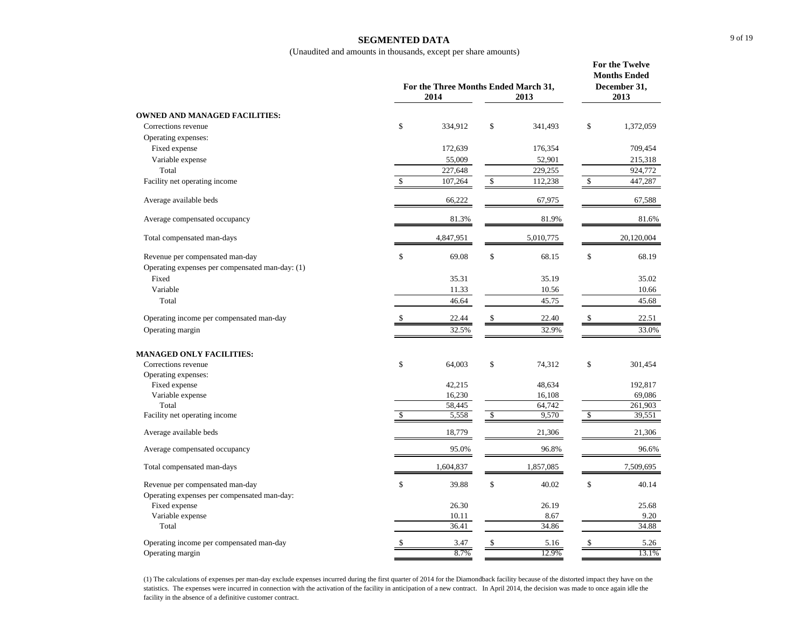## **SEGMENTED DATA**

(Unaudited and amounts in thousands, except per share amounts)

|                                                 |    | For the Three Months Ended March 31,<br>2014<br>2013 |               |           |                      |            |
|-------------------------------------------------|----|------------------------------------------------------|---------------|-----------|----------------------|------------|
| <b>OWNED AND MANAGED FACILITIES:</b>            |    |                                                      |               |           |                      |            |
| Corrections revenue                             | \$ | 334,912                                              | \$            | 341,493   | \$                   | 1,372,059  |
| Operating expenses:                             |    |                                                      |               |           |                      |            |
| Fixed expense                                   |    | 172,639                                              |               | 176,354   |                      | 709,454    |
| Variable expense                                |    | 55,009                                               |               | 52,901    |                      | 215,318    |
| Total                                           |    | 227,648                                              |               | 229,255   |                      | 924,772    |
| Facility net operating income                   | \$ | 107,264                                              | \$            | 112,238   | \$                   | 447,287    |
| Average available beds                          |    | 66,222                                               |               | 67,975    |                      | 67,588     |
| Average compensated occupancy                   |    | 81.3%                                                |               | 81.9%     |                      | 81.6%      |
| Total compensated man-days                      |    | 4,847,951                                            |               | 5,010,775 |                      | 20,120,004 |
| Revenue per compensated man-day                 | \$ | 69.08                                                | \$            | 68.15     | \$                   | 68.19      |
| Operating expenses per compensated man-day: (1) |    |                                                      |               |           |                      |            |
| Fixed                                           |    | 35.31                                                |               | 35.19     |                      | 35.02      |
| Variable                                        |    | 11.33                                                |               | 10.56     |                      | 10.66      |
| Total                                           |    | 46.64                                                |               | 45.75     |                      | 45.68      |
| Operating income per compensated man-day        |    | 22.44                                                | \$            | 22.40     | \$                   | 22.51      |
| Operating margin                                |    | 32.5%                                                |               | 32.9%     |                      | 33.0%      |
| <b>MANAGED ONLY FACILITIES:</b>                 |    |                                                      |               |           |                      |            |
| Corrections revenue                             | \$ | 64,003                                               | \$            | 74,312    | \$                   | 301,454    |
| Operating expenses:                             |    |                                                      |               |           |                      |            |
| Fixed expense                                   |    | 42,215                                               |               | 48,634    |                      | 192,817    |
| Variable expense                                |    | 16,230                                               |               | 16,108    |                      | 69,086     |
| Total                                           |    | 58,445                                               |               | 64,742    |                      | 261,903    |
| Facility net operating income                   | Ŝ  | 5,558                                                | $\mathcal{S}$ | 9,570     | $\sqrt{\frac{2}{5}}$ | 39,551     |
| Average available beds                          |    | 18,779                                               |               | 21,306    |                      | 21,306     |
| Average compensated occupancy                   |    | 95.0%                                                |               | 96.8%     |                      | 96.6%      |
| Total compensated man-days                      |    | 1,604,837                                            |               | 1,857,085 |                      | 7,509,695  |
| Revenue per compensated man-day                 | \$ | 39.88                                                | \$            | 40.02     | \$                   | 40.14      |
| Operating expenses per compensated man-day:     |    |                                                      |               |           |                      |            |
| Fixed expense                                   |    | 26.30                                                |               | 26.19     |                      | 25.68      |
| Variable expense                                |    | 10.11                                                |               | 8.67      |                      | 9.20       |
| Total                                           |    | 36.41                                                |               | 34.86     |                      | 34.88      |
| Operating income per compensated man-day        | \$ | 3.47                                                 | \$            | 5.16      | \$                   | 5.26       |
| Operating margin                                |    | 8.7%                                                 |               | 12.9%     |                      | 13.1%      |

(1) The calculations of expenses per man-day exclude expenses incurred during the first quarter of 2014 for the Diamondback facility because of the distorted impact they have on the statistics. The expenses were incurred in connection with the activation of the facility in anticipation of a new contract. In April 2014, the decision was made to once again idle the facility in the absence of a definitive customer contract.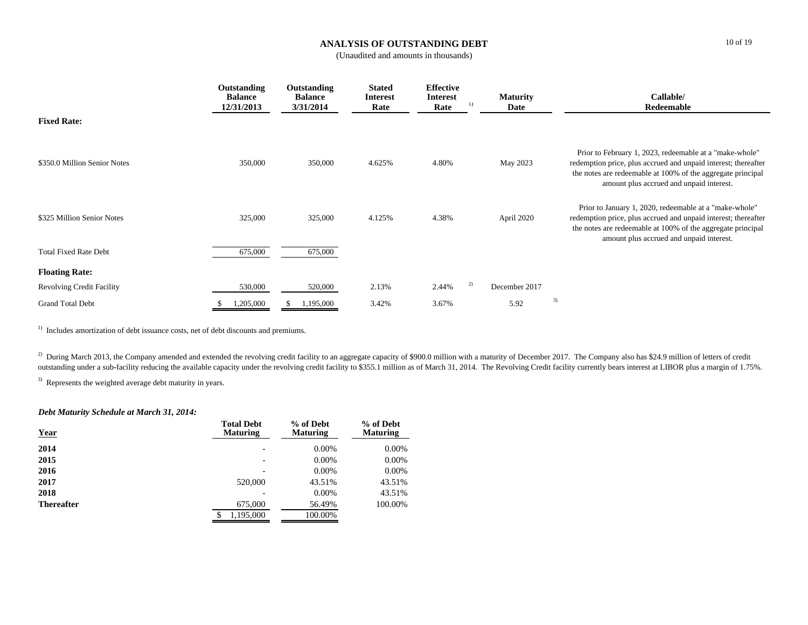# **ANALYSIS OF OUTSTANDING DEBT**

(Unaudited and amounts in thousands)

|                                  | Outstanding<br><b>Balance</b><br>12/31/2013 | Outstanding<br><b>Balance</b><br>3/31/2014 | <b>Stated</b><br><b>Interest</b><br>Rate | <b>Effective</b><br><b>Interest</b><br>$_{1}$<br>Rate | <b>Maturity</b><br>Date | Callable/<br>Redeemable                                                                                                                                                                                                              |
|----------------------------------|---------------------------------------------|--------------------------------------------|------------------------------------------|-------------------------------------------------------|-------------------------|--------------------------------------------------------------------------------------------------------------------------------------------------------------------------------------------------------------------------------------|
| <b>Fixed Rate:</b>               |                                             |                                            |                                          |                                                       |                         |                                                                                                                                                                                                                                      |
| \$350.0 Million Senior Notes     | 350,000                                     | 350,000                                    | 4.625%                                   | 4.80%                                                 | May 2023                | Prior to February 1, 2023, redeemable at a "make-whole"<br>redemption price, plus accrued and unpaid interest; thereafter<br>the notes are redeemable at 100% of the aggregate principal<br>amount plus accrued and unpaid interest. |
| \$325 Million Senior Notes       | 325,000                                     | 325,000                                    | 4.125%                                   | 4.38%                                                 | April 2020              | Prior to January 1, 2020, redeemable at a "make-whole"<br>redemption price, plus accrued and unpaid interest; thereafter<br>the notes are redeemable at 100% of the aggregate principal<br>amount plus accrued and unpaid interest.  |
| <b>Total Fixed Rate Debt</b>     | 675,000                                     | 675,000                                    |                                          |                                                       |                         |                                                                                                                                                                                                                                      |
| <b>Floating Rate:</b>            |                                             |                                            |                                          |                                                       |                         |                                                                                                                                                                                                                                      |
| <b>Revolving Credit Facility</b> | 530,000                                     | 520,000                                    | 2.13%                                    | 2)<br>2.44%                                           | December 2017           |                                                                                                                                                                                                                                      |
| <b>Grand Total Debt</b>          | 1,205,000                                   | 1,195,000                                  | 3.42%                                    | 3.67%                                                 | 5.92                    | 3)                                                                                                                                                                                                                                   |

<sup>1)</sup> Includes amortization of debt issuance costs, net of debt discounts and premiums.

<sup>2)</sup> During March 2013, the Company amended and extended the revolving credit facility to an aggregate capacity of \$900.0 million with a maturity of December 2017. The Company also has \$24.9 million of letters of credit outstanding under a sub-facility reducing the available capacity under the revolving credit facility to \$355.1 million as of March 31, 2014. The Revolving Credit facility currently bears interest at LIBOR plus a margin of

<sup>3)</sup> Represents the weighted average debt maturity in years.

### *Debt Maturity Schedule at March 31, 2014:*

| <b>Year</b>       | <b>Total Debt</b><br><b>Maturing</b> | % of Debt<br><b>Maturing</b> | % of Debt<br><b>Maturing</b> |
|-------------------|--------------------------------------|------------------------------|------------------------------|
| 2014              |                                      | $0.00\%$                     | 0.00%                        |
| 2015              |                                      | $0.00\%$                     | $0.00\%$                     |
| 2016              |                                      | $0.00\%$                     | $0.00\%$                     |
| 2017              | 520,000                              | 43.51%                       | 43.51%                       |
| 2018              |                                      | $0.00\%$                     | 43.51%                       |
| <b>Thereafter</b> | 675,000                              | 56.49%                       | 100.00%                      |
|                   | 1,195,000<br>S                       | 100.00%                      |                              |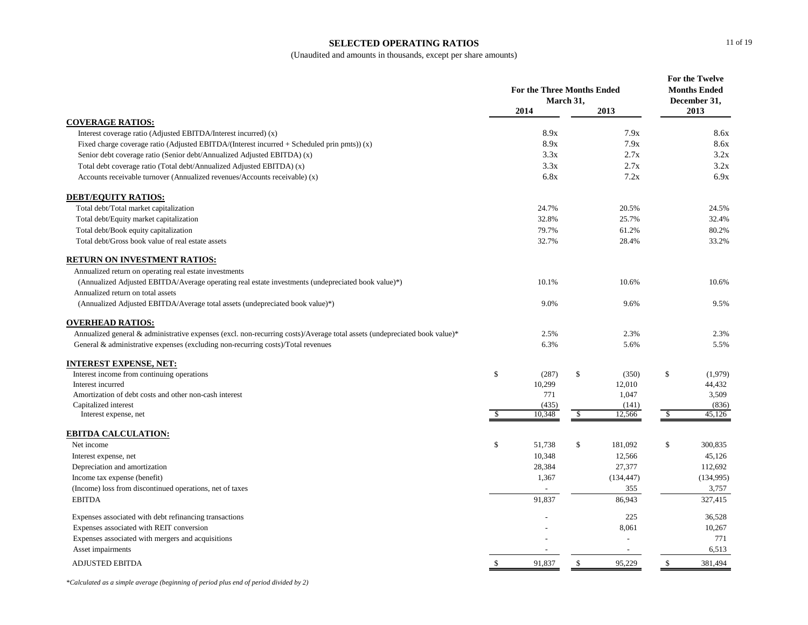#### **SELECTED OPERATING RATIOS**

(Unaudited and amounts in thousands, except per share amounts)

|                                                                                                                           |    | <b>For the Three Months Ended</b><br>March 31, |              |            | For the Twelve<br><b>Months Ended</b><br>December 31, |           |
|---------------------------------------------------------------------------------------------------------------------------|----|------------------------------------------------|--------------|------------|-------------------------------------------------------|-----------|
|                                                                                                                           |    | 2014                                           |              | 2013       |                                                       | 2013      |
| <b>COVERAGE RATIOS:</b>                                                                                                   |    |                                                |              |            |                                                       |           |
| Interest coverage ratio (Adjusted EBITDA/Interest incurred) (x)                                                           |    | 8.9x                                           |              | 7.9x       |                                                       | 8.6x      |
| Fixed charge coverage ratio (Adjusted EBITDA/(Interest incurred $+$ Scheduled prin pmts)) (x)                             |    | 8.9x                                           |              | 7.9x       |                                                       | 8.6x      |
| Senior debt coverage ratio (Senior debt/Annualized Adjusted EBITDA) (x)                                                   |    | 3.3x                                           |              | 2.7x       |                                                       | 3.2x      |
| Total debt coverage ratio (Total debt/Annualized Adjusted EBITDA) (x)                                                     |    | 3.3x                                           |              | 2.7x       |                                                       | 3.2x      |
| Accounts receivable turnover (Annualized revenues/Accounts receivable) (x)                                                |    | 6.8x                                           |              | 7.2x       |                                                       | 6.9x      |
| <b>DEBT/EQUITY RATIOS:</b>                                                                                                |    |                                                |              |            |                                                       |           |
| Total debt/Total market capitalization                                                                                    |    | 24.7%                                          |              | 20.5%      |                                                       | 24.5%     |
| Total debt/Equity market capitalization                                                                                   |    | 32.8%                                          |              | 25.7%      |                                                       | 32.4%     |
| Total debt/Book equity capitalization                                                                                     |    | 79.7%                                          |              | 61.2%      |                                                       | 80.2%     |
| Total debt/Gross book value of real estate assets                                                                         |    | 32.7%                                          |              | 28.4%      |                                                       | 33.2%     |
| <b>RETURN ON INVESTMENT RATIOS:</b>                                                                                       |    |                                                |              |            |                                                       |           |
| Annualized return on operating real estate investments                                                                    |    |                                                |              |            |                                                       |           |
| (Annualized Adjusted EBITDA/Average operating real estate investments (undepreciated book value)*)                        |    | 10.1%                                          |              | 10.6%      |                                                       | 10.6%     |
| Annualized return on total assets                                                                                         |    |                                                |              |            |                                                       |           |
| (Annualized Adjusted EBITDA/Average total assets (undepreciated book value)*)                                             |    | 9.0%                                           |              | 9.6%       |                                                       | 9.5%      |
| <b>OVERHEAD RATIOS:</b>                                                                                                   |    |                                                |              |            |                                                       |           |
| Annualized general & administrative expenses (excl. non-recurring costs)/Average total assets (undepreciated book value)* |    | 2.5%                                           |              | 2.3%       |                                                       | 2.3%      |
| General & administrative expenses (excluding non-recurring costs)/Total revenues                                          |    | 6.3%                                           |              | 5.6%       |                                                       | 5.5%      |
| INTEREST EXPENSE, NET:                                                                                                    |    |                                                |              |            |                                                       |           |
| Interest income from continuing operations                                                                                | \$ | (287)                                          | \$           | (350)      | \$                                                    | (1,979)   |
| Interest incurred                                                                                                         |    | 10,299                                         |              | 12,010     |                                                       | 44,432    |
| Amortization of debt costs and other non-cash interest                                                                    |    | 771                                            |              | 1,047      |                                                       | 3,509     |
| Capitalized interest                                                                                                      |    | (435)                                          |              | (141)      |                                                       | (836)     |
| Interest expense, net                                                                                                     | -S | 10,348                                         | \$           | 12,566     | - \$                                                  | 45,126    |
| <b>EBITDA CALCULATION:</b>                                                                                                |    |                                                |              |            |                                                       |           |
| Net income                                                                                                                | \$ | 51,738                                         | $\mathbb{S}$ | 181,092    | \$                                                    | 300,835   |
| Interest expense, net                                                                                                     |    | 10,348                                         |              | 12,566     |                                                       | 45,126    |
| Depreciation and amortization                                                                                             |    | 28,384                                         |              | 27,377     |                                                       | 112,692   |
| Income tax expense (benefit)                                                                                              |    | 1,367                                          |              | (134, 447) |                                                       | (134,995) |
| (Income) loss from discontinued operations, net of taxes                                                                  |    |                                                |              | 355        |                                                       | 3,757     |
| <b>EBITDA</b>                                                                                                             |    | 91,837                                         |              | 86,943     |                                                       | 327,415   |
| Expenses associated with debt refinancing transactions                                                                    |    |                                                |              | 225        |                                                       | 36,528    |
| Expenses associated with REIT conversion                                                                                  |    |                                                |              | 8,061      |                                                       | 10,267    |
| Expenses associated with mergers and acquisitions                                                                         |    |                                                |              |            |                                                       | 771       |
| Asset impairments                                                                                                         |    |                                                |              |            |                                                       | 6,513     |
| <b>ADJUSTED EBITDA</b>                                                                                                    | \$ | 91,837                                         | \$           | 95,229     | \$                                                    | 381,494   |

*\*Calculated as a simple average (beginning of period plus end of period divided by 2)*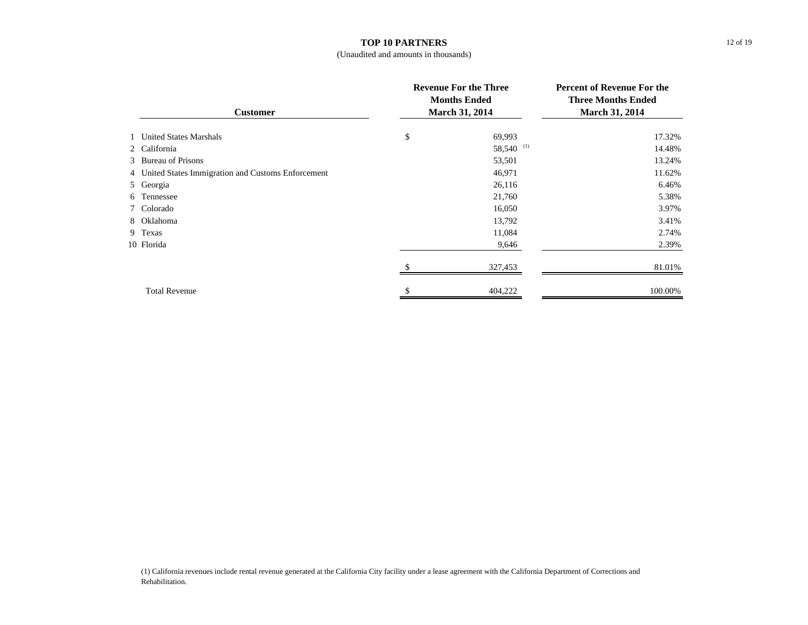# **TOP 10 PARTNERS**

## (Unaudited and amounts in thousands)

| <b>Customer</b>                                     |    | <b>Revenue For the Three</b><br><b>Months Ended</b><br>March 31, 2014 | <b>Percent of Revenue For the</b><br><b>Three Months Ended</b><br>March 31, 2014 |  |
|-----------------------------------------------------|----|-----------------------------------------------------------------------|----------------------------------------------------------------------------------|--|
| 1 United States Marshals                            | \$ | 69,993                                                                | 17.32%                                                                           |  |
| 2 California                                        |    | 58,540 (1)                                                            | 14.48%                                                                           |  |
| 3 Bureau of Prisons                                 |    | 53,501                                                                | 13.24%                                                                           |  |
| 4 United States Immigration and Customs Enforcement |    | 46,971                                                                | 11.62%                                                                           |  |
| 5 Georgia                                           |    | 26,116                                                                | 6.46%                                                                            |  |
| 6 Tennessee                                         |    | 21,760                                                                | 5.38%                                                                            |  |
| 7 Colorado                                          |    | 16,050                                                                | 3.97%                                                                            |  |
| 8 Oklahoma                                          |    | 13,792                                                                | 3.41%                                                                            |  |
| 9 Texas                                             |    | 11,084                                                                | 2.74%                                                                            |  |
| 10 Florida                                          |    | 9,646                                                                 | 2.39%                                                                            |  |
|                                                     |    | 327,453                                                               | 81.01%                                                                           |  |
| <b>Total Revenue</b>                                |    | 404,222                                                               | 100.00%                                                                          |  |

(1) California revenues include rental revenue generated at the California City facility under a lease agreement with the California Department of Corrections and Rehabilitation.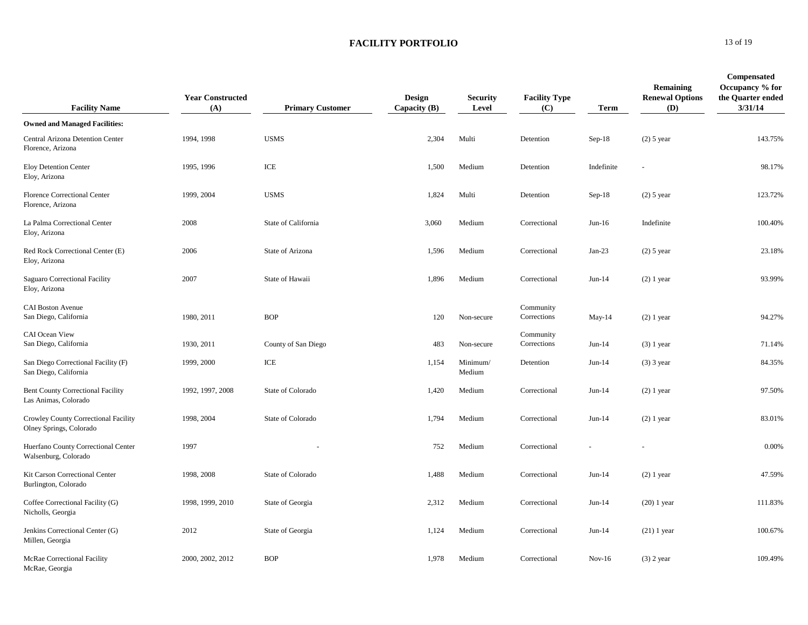| <b>Facility Name</b>                                             | <b>Year Constructed</b><br>(A) | <b>Primary Customer</b> | <b>Design</b><br>Capacity $(B)$ | <b>Security</b><br>Level | <b>Facility Type</b><br>(C) | <b>Term</b> | Remaining<br><b>Renewal Options</b><br>(D) | Compensated<br>Occupancy % for<br>the Quarter ended<br>3/31/14 |
|------------------------------------------------------------------|--------------------------------|-------------------------|---------------------------------|--------------------------|-----------------------------|-------------|--------------------------------------------|----------------------------------------------------------------|
| <b>Owned and Managed Facilities:</b>                             |                                |                         |                                 |                          |                             |             |                                            |                                                                |
| Central Arizona Detention Center<br>Florence, Arizona            | 1994, 1998                     | <b>USMS</b>             | 2,304                           | Multi                    | Detention                   | $Sep-18$    | $(2)$ 5 year                               | 143.75%                                                        |
| <b>Eloy Detention Center</b><br>Eloy, Arizona                    | 1995, 1996                     | ICE                     | 1,500                           | Medium                   | Detention                   | Indefinite  |                                            | 98.17%                                                         |
| <b>Florence Correctional Center</b><br>Florence, Arizona         | 1999, 2004                     | <b>USMS</b>             | 1,824                           | Multi                    | Detention                   | $Sep-18$    | $(2)$ 5 year                               | 123.72%                                                        |
| La Palma Correctional Center<br>Eloy, Arizona                    | 2008                           | State of California     | 3,060                           | Medium                   | Correctional                | $Jun-16$    | Indefinite                                 | 100.40%                                                        |
| Red Rock Correctional Center (E)<br>Eloy, Arizona                | 2006                           | State of Arizona        | 1,596                           | Medium                   | Correctional                | $Jan-23$    | $(2)$ 5 year                               | 23.18%                                                         |
| Saguaro Correctional Facility<br>Eloy, Arizona                   | 2007                           | State of Hawaii         | 1,896                           | Medium                   | Correctional                | $Jun-14$    | $(2)$ 1 year                               | 93.99%                                                         |
| <b>CAI Boston Avenue</b><br>San Diego, California                | 1980, 2011                     | <b>BOP</b>              | 120                             | Non-secure               | Community<br>Corrections    | May-14      | $(2)$ 1 year                               | 94.27%                                                         |
| CAI Ocean View<br>San Diego, California                          | 1930, 2011                     | County of San Diego     | 483                             | Non-secure               | Community<br>Corrections    | $Jun-14$    | $(3)$ 1 year                               | 71.14%                                                         |
| San Diego Correctional Facility (F)<br>San Diego, California     | 1999, 2000                     | ICE                     | 1,154                           | Minimum/<br>Medium       | Detention                   | $Jun-14$    | $(3)$ 3 year                               | 84.35%                                                         |
| <b>Bent County Correctional Facility</b><br>Las Animas, Colorado | 1992, 1997, 2008               | State of Colorado       | 1,420                           | Medium                   | Correctional                | $Jun-14$    | $(2)$ 1 year                               | 97.50%                                                         |
| Crowley County Correctional Facility<br>Olney Springs, Colorado  | 1998, 2004                     | State of Colorado       | 1,794                           | Medium                   | Correctional                | $Jun-14$    | $(2)$ 1 year                               | 83.01%                                                         |
| Huerfano County Correctional Center<br>Walsenburg, Colorado      | 1997                           |                         | 752                             | Medium                   | Correctional                |             |                                            | 0.00%                                                          |
| Kit Carson Correctional Center<br>Burlington, Colorado           | 1998, 2008                     | State of Colorado       | 1,488                           | Medium                   | Correctional                | $Jun-14$    | $(2)$ 1 year                               | 47.59%                                                         |
| Coffee Correctional Facility (G)<br>Nicholls, Georgia            | 1998, 1999, 2010               | State of Georgia        | 2,312                           | Medium                   | Correctional                | $Jun-14$    | $(20)$ 1 year                              | 111.83%                                                        |
| Jenkins Correctional Center (G)<br>Millen, Georgia               | 2012                           | State of Georgia        | 1,124                           | Medium                   | Correctional                | $Jun-14$    | $(21)$ 1 year                              | 100.67%                                                        |
| McRae Correctional Facility<br>McRae, Georgia                    | 2000, 2002, 2012               | <b>BOP</b>              | 1,978                           | Medium                   | Correctional                | $Nov-16$    | $(3)$ 2 year                               | 109.49%                                                        |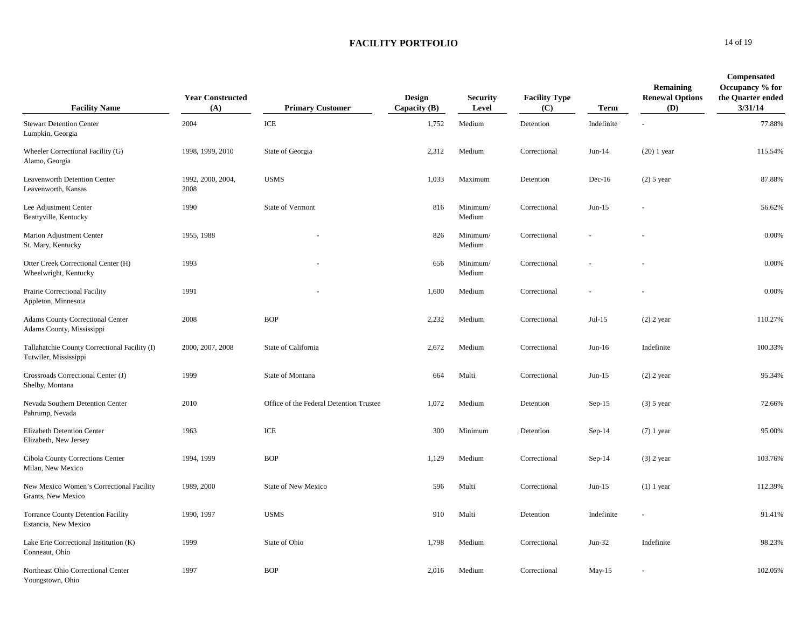| <b>Facility Name</b>                                                   | <b>Year Constructed</b><br>(A) | <b>Primary Customer</b>                 | <b>Design</b><br>Capacity $(B)$ | <b>Security</b><br>Level | <b>Facility Type</b><br>(C) | <b>Term</b> | Remaining<br><b>Renewal Options</b><br>(D) | <b>Compensated</b><br>Occupancy % for<br>the Quarter ended<br>3/31/14 |
|------------------------------------------------------------------------|--------------------------------|-----------------------------------------|---------------------------------|--------------------------|-----------------------------|-------------|--------------------------------------------|-----------------------------------------------------------------------|
| <b>Stewart Detention Center</b><br>Lumpkin, Georgia                    | 2004                           | ICE                                     | 1,752                           | Medium                   | Detention                   | Indefinite  |                                            | 77.88%                                                                |
| Wheeler Correctional Facility (G)<br>Alamo, Georgia                    | 1998, 1999, 2010               | State of Georgia                        | 2,312                           | Medium                   | Correctional                | $Jun-14$    | $(20)$ 1 year                              | 115.54%                                                               |
| Leavenworth Detention Center<br>Leavenworth, Kansas                    | 1992, 2000, 2004,<br>2008      | <b>USMS</b>                             | 1,033                           | Maximum                  | Detention                   | $Dec-16$    | $(2)$ 5 year                               | 87.88%                                                                |
| Lee Adjustment Center<br>Beattyville, Kentucky                         | 1990                           | State of Vermont                        | 816                             | Minimum/<br>Medium       | Correctional                | $Jun-15$    |                                            | 56.62%                                                                |
| Marion Adjustment Center<br>St. Mary, Kentucky                         | 1955, 1988                     |                                         | 826                             | Minimum/<br>Medium       | Correctional                |             |                                            | 0.00%                                                                 |
| Otter Creek Correctional Center (H)<br>Wheelwright, Kentucky           | 1993                           |                                         | 656                             | Minimum/<br>Medium       | Correctional                |             |                                            | 0.00%                                                                 |
| Prairie Correctional Facility<br>Appleton, Minnesota                   | 1991                           |                                         | 1,600                           | Medium                   | Correctional                |             |                                            | 0.00%                                                                 |
| <b>Adams County Correctional Center</b><br>Adams County, Mississippi   | 2008                           | <b>BOP</b>                              | 2,232                           | Medium                   | Correctional                | $Jul-15$    | $(2)$ 2 year                               | 110.27%                                                               |
| Tallahatchie County Correctional Facility (I)<br>Tutwiler, Mississippi | 2000, 2007, 2008               | State of California                     | 2,672                           | Medium                   | Correctional                | $Jun-16$    | Indefinite                                 | 100.33%                                                               |
| Crossroads Correctional Center (J)<br>Shelby, Montana                  | 1999                           | State of Montana                        | 664                             | Multi                    | Correctional                | $Jun-15$    | $(2)$ 2 year                               | 95.34%                                                                |
| Nevada Southern Detention Center<br>Pahrump, Nevada                    | 2010                           | Office of the Federal Detention Trustee | 1,072                           | Medium                   | Detention                   | $Sep-15$    | $(3)$ 5 year                               | 72.66%                                                                |
| Elizabeth Detention Center<br>Elizabeth, New Jersey                    | 1963                           | ICE                                     | 300                             | Minimum                  | Detention                   | $Sep-14$    | $(7)$ 1 year                               | 95.00%                                                                |
| Cibola County Corrections Center<br>Milan, New Mexico                  | 1994, 1999                     | <b>BOP</b>                              | 1,129                           | Medium                   | Correctional                | $Sep-14$    | $(3)$ 2 year                               | 103.76%                                                               |
| New Mexico Women's Correctional Facility<br>Grants, New Mexico         | 1989, 2000                     | <b>State of New Mexico</b>              | 596                             | Multi                    | Correctional                | $Jun-15$    | $(1)$ 1 year                               | 112.39%                                                               |
| <b>Torrance County Detention Facility</b><br>Estancia, New Mexico      | 1990, 1997                     | <b>USMS</b>                             | 910                             | Multi                    | Detention                   | Indefinite  | ÷.                                         | 91.41%                                                                |
| Lake Erie Correctional Institution (K)<br>Conneaut, Ohio               | 1999                           | State of Ohio                           | 1,798                           | Medium                   | Correctional                | $Jun-32$    | Indefinite                                 | 98.23%                                                                |
| Northeast Ohio Correctional Center<br>Youngstown, Ohio                 | 1997                           | <b>BOP</b>                              | 2,016                           | Medium                   | Correctional                | $May-15$    |                                            | 102.05%                                                               |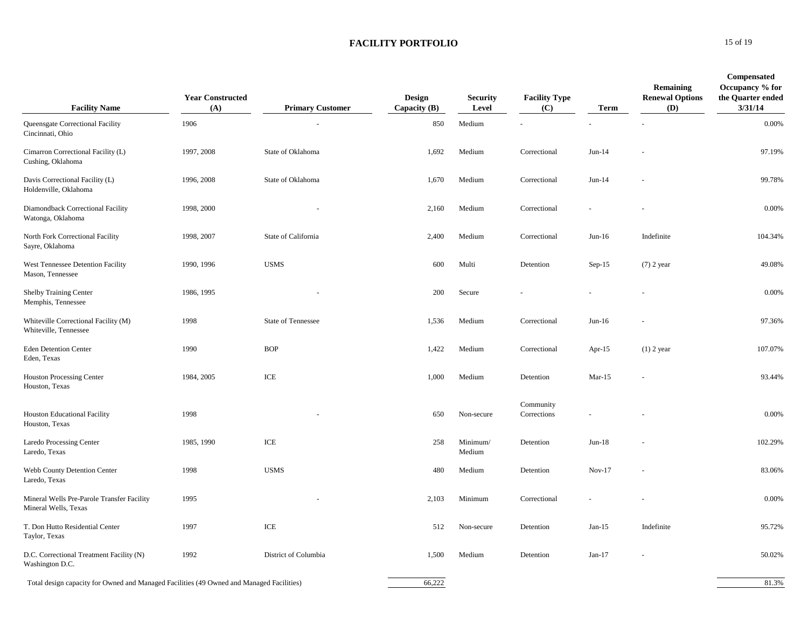| <b>Facility Name</b>                                                                     | <b>Year Constructed</b><br>(A) | <b>Primary Customer</b>   | <b>Design</b><br>Capacity (B) | <b>Security</b><br>Level | <b>Facility Type</b><br>(C) | Term      | Remaining<br><b>Renewal Options</b><br>(D) | <b>Compensated</b><br>Occupancy % for<br>the Quarter ended<br>3/31/14 |
|------------------------------------------------------------------------------------------|--------------------------------|---------------------------|-------------------------------|--------------------------|-----------------------------|-----------|--------------------------------------------|-----------------------------------------------------------------------|
| Queensgate Correctional Facility<br>Cincinnati, Ohio                                     | 1906                           |                           | 850                           | Medium                   |                             |           |                                            | 0.00%                                                                 |
| Cimarron Correctional Facility (L)<br>Cushing, Oklahoma                                  | 1997, 2008                     | State of Oklahoma         | 1,692                         | Medium                   | Correctional                | $Jun-14$  |                                            | 97.19%                                                                |
| Davis Correctional Facility (L)<br>Holdenville, Oklahoma                                 | 1996, 2008                     | State of Oklahoma         | 1,670                         | Medium                   | Correctional                | $Jun-14$  |                                            | 99.78%                                                                |
| Diamondback Correctional Facility<br>Watonga, Oklahoma                                   | 1998, 2000                     |                           | 2,160                         | Medium                   | Correctional                |           |                                            | 0.00%                                                                 |
| North Fork Correctional Facility<br>Sayre, Oklahoma                                      | 1998, 2007                     | State of California       | 2,400                         | Medium                   | Correctional                | $Jun-16$  | Indefinite                                 | 104.34%                                                               |
| West Tennessee Detention Facility<br>Mason, Tennessee                                    | 1990, 1996                     | <b>USMS</b>               | 600                           | Multi                    | Detention                   | $Sep-15$  | $(7)$ 2 year                               | 49.08%                                                                |
| <b>Shelby Training Center</b><br>Memphis, Tennessee                                      | 1986, 1995                     |                           | 200                           | Secure                   |                             |           |                                            | 0.00%                                                                 |
| Whiteville Correctional Facility (M)<br>Whiteville, Tennessee                            | 1998                           | <b>State of Tennessee</b> | 1,536                         | Medium                   | Correctional                | $Jun-16$  |                                            | 97.36%                                                                |
| <b>Eden Detention Center</b><br>Eden, Texas                                              | 1990                           | <b>BOP</b>                | 1,422                         | Medium                   | Correctional                | Apr- $15$ | $(1)$ 2 year                               | 107.07%                                                               |
| <b>Houston Processing Center</b><br>Houston, Texas                                       | 1984, 2005                     | ICE                       | 1,000                         | Medium                   | Detention                   | $Mar-15$  |                                            | 93.44%                                                                |
| Houston Educational Facility<br>Houston, Texas                                           | 1998                           |                           | 650                           | Non-secure               | Community<br>Corrections    |           |                                            | 0.00%                                                                 |
| <b>Laredo Processing Center</b><br>Laredo, Texas                                         | 1985, 1990                     | ICE                       | 258                           | Minimum/<br>Medium       | Detention                   | $Jun-18$  |                                            | 102.29%                                                               |
| Webb County Detention Center<br>Laredo, Texas                                            | 1998                           | <b>USMS</b>               | 480                           | Medium                   | Detention                   | $Nov-17$  |                                            | 83.06%                                                                |
| Mineral Wells Pre-Parole Transfer Facility<br>Mineral Wells, Texas                       | 1995                           |                           | 2,103                         | Minimum                  | Correctional                |           |                                            | 0.00%                                                                 |
| T. Don Hutto Residential Center<br>Taylor, Texas                                         | 1997                           | ICE                       | 512                           | Non-secure               | Detention                   | $Jan-15$  | Indefinite                                 | 95.72%                                                                |
| D.C. Correctional Treatment Facility (N)<br>Washington D.C.                              | 1992                           | District of Columbia      | 1,500                         | Medium                   | Detention                   | $Jan-17$  |                                            | 50.02%                                                                |
| Total design capacity for Owned and Managed Facilities (49 Owned and Managed Facilities) |                                |                           | 66,222                        |                          |                             |           |                                            | 81.3%                                                                 |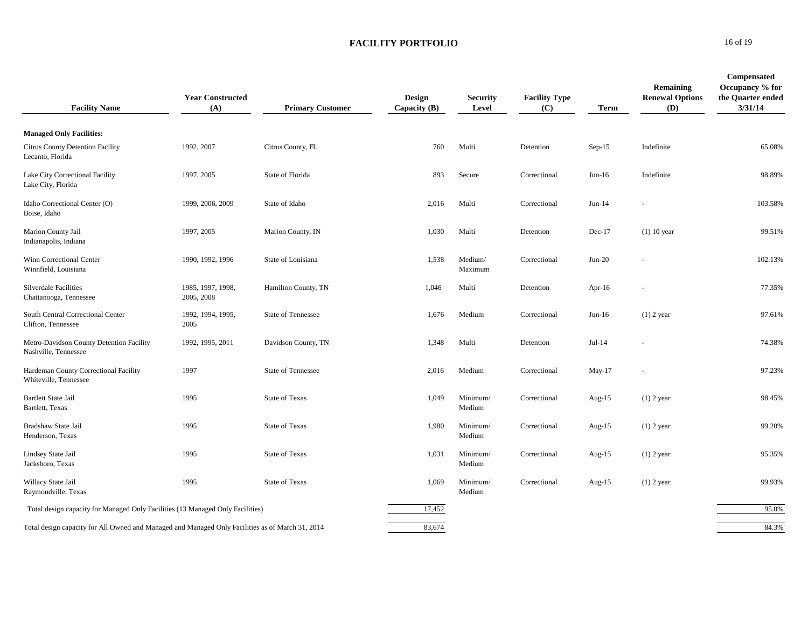| <b>Facility Name</b>                                                                             | <b>Year Constructed</b><br>(A)  | <b>Primary Customer</b>   | <b>Design</b><br>Capacity $(B)$ | Security<br>Level  | <b>Facility Type</b><br>(C) | Term      | Remaining<br><b>Renewal Options</b><br>(D) | <b>Compensated</b><br>Occupancy % for<br>the Quarter ended<br>3/31/14 |
|--------------------------------------------------------------------------------------------------|---------------------------------|---------------------------|---------------------------------|--------------------|-----------------------------|-----------|--------------------------------------------|-----------------------------------------------------------------------|
| <b>Managed Only Facilities:</b>                                                                  |                                 |                           |                                 |                    |                             |           |                                            |                                                                       |
| <b>Citrus County Detention Facility</b><br>Lecanto, Florida                                      | 1992, 2007                      | Citrus County, FL         | 760                             | Multi              | Detention                   | $Sep-15$  | Indefinite                                 | 65.08%                                                                |
| Lake City Correctional Facility<br>Lake City, Florida                                            | 1997, 2005                      | State of Florida          | 893                             | Secure             | Correctional                | $Jun-16$  | Indefinite                                 | 98.89%                                                                |
| Idaho Correctional Center (O)<br>Boise, Idaho                                                    | 1999, 2006, 2009                | State of Idaho            | 2,016                           | Multi              | Correctional                | $Jun-14$  |                                            | 103.58%                                                               |
| Marion County Jail<br>Indianapolis, Indiana                                                      | 1997, 2005                      | Marion County, IN         | 1,030                           | Multi              | Detention                   | $Dec-17$  | $(1)$ 10 year                              | 99.51%                                                                |
| Winn Correctional Center<br>Winnfield, Louisiana                                                 | 1990, 1992, 1996                | State of Louisiana        | 1,538                           | Medium/<br>Maximum | Correctional                | $Jun-20$  |                                            | 102.13%                                                               |
| <b>Silverdale Facilities</b><br>Chattanooga, Tennessee                                           | 1985, 1997, 1998,<br>2005, 2008 | Hamilton County, TN       | 1,046                           | Multi              | Detention                   | Apr-16    |                                            | 77.35%                                                                |
| South Central Correctional Center<br>Clifton, Tennessee                                          | 1992, 1994, 1995,<br>2005       | <b>State of Tennessee</b> | 1,676                           | Medium             | Correctional                | $Jun-16$  | $(1)$ 2 year                               | 97.61%                                                                |
| Metro-Davidson County Detention Facility<br>Nashville, Tennessee                                 | 1992, 1995, 2011                | Davidson County, TN       | 1,348                           | Multi              | Detention                   | $Jul-14$  |                                            | 74.38%                                                                |
| Hardeman County Correctional Facility<br>Whiteville, Tennessee                                   | 1997                            | <b>State of Tennessee</b> | 2,016                           | Medium             | Correctional                | May-17    |                                            | 97.23%                                                                |
| <b>Bartlett State Jail</b><br>Bartlett, Texas                                                    | 1995                            | <b>State of Texas</b>     | 1,049                           | Minimum/<br>Medium | Correctional                | Aug- $15$ | $(1)$ 2 year                               | 98.45%                                                                |
| Bradshaw State Jail<br>Henderson, Texas                                                          | 1995                            | <b>State of Texas</b>     | 1,980                           | Minimum/<br>Medium | Correctional                | Aug- $15$ | $(1)$ 2 year                               | 99.20%                                                                |
| Lindsey State Jail<br>Jacksboro, Texas                                                           | 1995                            | <b>State of Texas</b>     | 1,031                           | Minimum/<br>Medium | Correctional                | Aug- $15$ | $(1)$ 2 year                               | 95.35%                                                                |
| Willacy State Jail<br>Raymondville, Texas                                                        | 1995                            | <b>State of Texas</b>     | 1,069                           | Minimum/<br>Medium | Correctional                | Aug- $15$ | $(1)$ 2 year                               | 99.93%                                                                |
| Total design capacity for Managed Only Facilities (13 Managed Only Facilities)                   |                                 |                           | 17,452                          |                    |                             |           |                                            | 95.0%                                                                 |
| Total design capacity for All Owned and Managed and Managed Only Facilities as of March 31, 2014 |                                 |                           | 83,674                          |                    |                             |           |                                            | 84.3%                                                                 |

**0** 16 of 19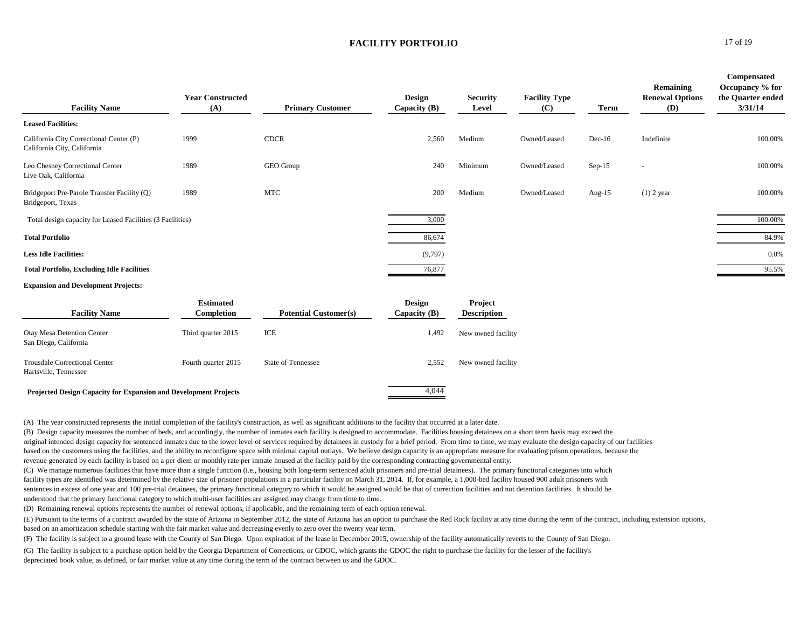| <b>Leased Facilities:</b><br><b>CDCR</b><br>1999<br>Medium<br>Indefinite<br>California City Correctional Center (P)<br>2,560<br>Owned/Leased<br>$Dec-16$<br>California City, California<br>1989<br>GEO Group<br>Minimum<br>240<br>Owned/Leased<br>$Sep-15$<br>Leo Chesney Correctional Center<br>$\overline{\phantom{a}}$<br>Live Oak, California<br><b>MTC</b><br>1989<br>Medium<br>Bridgeport Pre-Parole Transfer Facility (Q)<br>200<br>Owned/Leased<br>$(1)$ 2 year<br>Aug- $15$<br>Bridgeport, Texas<br>3,000<br>Total design capacity for Leased Facilities (3 Facilities)<br><b>Total Portfolio</b><br>86,674<br><b>Less Idle Facilities:</b><br>(9,797) | <b>Facility Name</b>                              | <b>Year Constructed</b><br>(A) | <b>Primary Customer</b> | Design<br>Capacity $(B)$ | <b>Security</b><br>Level | <b>Facility Type</b><br>(C) | Term | Remaining<br><b>Renewal Options</b><br>(D) | <b>Compensated</b><br>Occupancy % for<br>the Quarter ended<br>3/31/14 |
|-----------------------------------------------------------------------------------------------------------------------------------------------------------------------------------------------------------------------------------------------------------------------------------------------------------------------------------------------------------------------------------------------------------------------------------------------------------------------------------------------------------------------------------------------------------------------------------------------------------------------------------------------------------------|---------------------------------------------------|--------------------------------|-------------------------|--------------------------|--------------------------|-----------------------------|------|--------------------------------------------|-----------------------------------------------------------------------|
|                                                                                                                                                                                                                                                                                                                                                                                                                                                                                                                                                                                                                                                                 |                                                   |                                |                         |                          |                          |                             |      |                                            |                                                                       |
|                                                                                                                                                                                                                                                                                                                                                                                                                                                                                                                                                                                                                                                                 |                                                   |                                |                         |                          |                          |                             |      |                                            | 100.00%                                                               |
|                                                                                                                                                                                                                                                                                                                                                                                                                                                                                                                                                                                                                                                                 |                                                   |                                |                         |                          |                          |                             |      |                                            | 100.00%                                                               |
|                                                                                                                                                                                                                                                                                                                                                                                                                                                                                                                                                                                                                                                                 |                                                   |                                |                         |                          |                          |                             |      |                                            | 100.00%                                                               |
|                                                                                                                                                                                                                                                                                                                                                                                                                                                                                                                                                                                                                                                                 |                                                   |                                |                         |                          |                          |                             |      |                                            | 100.00%                                                               |
|                                                                                                                                                                                                                                                                                                                                                                                                                                                                                                                                                                                                                                                                 |                                                   |                                |                         |                          |                          |                             |      |                                            | 84.9%                                                                 |
|                                                                                                                                                                                                                                                                                                                                                                                                                                                                                                                                                                                                                                                                 |                                                   |                                |                         |                          |                          |                             |      |                                            | 0.0%                                                                  |
|                                                                                                                                                                                                                                                                                                                                                                                                                                                                                                                                                                                                                                                                 | <b>Total Portfolio, Excluding Idle Facilities</b> |                                |                         | 76,877                   |                          |                             |      |                                            | 95.5%                                                                 |

#### **Expansion and Development Projects:**

| <b>Facility Name</b>                                                    | <b>Estimated</b><br>Completion | <b>Potential Customer(s)</b> | <b>Design</b><br>Capacity $(B)$ | <b>Project</b><br><b>Description</b> |
|-------------------------------------------------------------------------|--------------------------------|------------------------------|---------------------------------|--------------------------------------|
| <b>Otay Mesa Detention Center</b><br>San Diego, California              | Third quarter 2015             | ICE                          | 1.492                           | New owned facility                   |
| <b>Trousdale Correctional Center</b><br>Hartsville, Tennessee           | Fourth quarter 2015            | <b>State of Tennessee</b>    | 2.552                           | New owned facility                   |
| <b>Projected Design Capacity for Expansion and Development Projects</b> |                                |                              | 4.044                           |                                      |

(A) The year constructed represents the initial completion of the facility's construction, as well as significant additions to the facility that occurred at a later date.

original intended design capacity for sentenced inmates due to the lower level of services required by detainees in custody for a brief period. From time to time, we may evaluate the design capacity of our facilities based on the customers using the facilities, and the ability to reconfigure space with minimal capital outlays. We believe design capacity is an appropriate measure for evaluating prison operations, because the revenue generated by each facility is based on a per diem or monthly rate per inmate housed at the facility paid by the corresponding contracting governmental entity. (B) Design capacity measures the number of beds, and accordingly, the number of inmates each facility is designed to accommodate. Facilities housing detainees on a short term basis may exceed the

(C) We manage numerous facilities that have more than a single function (i.e., housing both long-term sentenced adult prisoners and pre-trial detainees). The primary functional categories into which facility types are identified was determined by the relative size of prisoner populations in a particular facility on March 31, 2014. If, for example, a 1,000-bed facility housed 900 adult prisoners with sentences in excess of one year and 100 pre-trial detainees, the primary functional category to which it would be assigned would be that of correction facilities and not detention facilities. It should be understood that the primary functional category to which multi-user facilities are assigned may change from time to time.

(D) Remaining renewal options represents the number of renewal options, if applicable, and the remaining term of each option renewal.

(E) Pursuant to the terms of a contract awarded by the state of Arizona in September 2012, the state of Arizona has an option to purchase the Red Rock facility at any time during the term of the contract, including extensi based on an amortization schedule starting with the fair market value and decreasing evenly to zero over the twenty year term.

(F) The facility is subject to a ground lease with the County of San Diego. Upon expiration of the lease in December 2015, ownership of the facility automatically reverts to the County of San Diego.

(G) The facility is subject to a purchase option held by the Georgia Department of Corrections, or GDOC, which grants the GDOC the right to purchase the facility for the lesser of the facility's depreciated book value, as defined, or fair market value at any time during the term of the contract between us and the GDOC.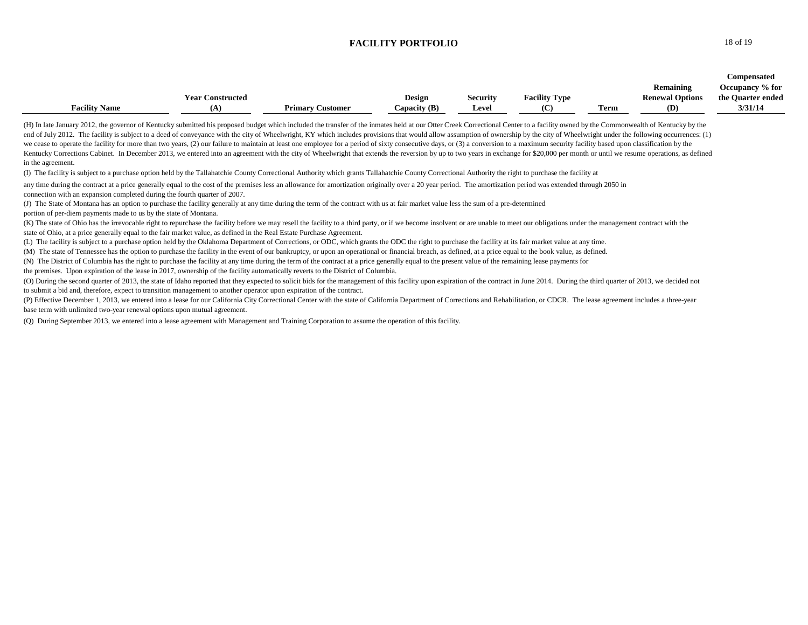|                      |                         |                         |               |                 |                      |                            |                        | Compensated       |
|----------------------|-------------------------|-------------------------|---------------|-----------------|----------------------|----------------------------|------------------------|-------------------|
|                      |                         |                         |               |                 |                      |                            | Remaining              | Occupancy % for   |
|                      | <b>Year Constructed</b> |                         | <b>Design</b> | <b>Security</b> | <b>Facility Type</b> |                            | <b>Renewal Options</b> | the Quarter ended |
| <b>Facility Name</b> |                         | <b>Primary Customer</b> | Capacity (B)  | Level           |                      | <b>CONTRACTOR</b><br>l'erm | (D)                    | 3/31/14           |

(H) In late January 2012, the governor of Kentucky submitted his proposed budget which included the transfer of the inmates held at our Otter Creek Correctional Center to a facility owned by the Commonwealth of Kentucky by end of July 2012. The facility is subject to a deed of conveyance with the city of Wheelwright, KY which includes provisions that would allow assumption of ownership by the city of Wheelwright under the following occurrenc we cease to operate the facility for more than two years, (2) our failure to maintain at least one employee for a period of sixty consecutive days, or (3) a conversion to a maximum security facility based upon classificati Kentucky Corrections Cabinet. In December 2013, we entered into an agreement with the city of Wheelwright that extends the reversion by up to two years in exchange for \$20,000 per month or until we resume operations, as de in the agreement.

(I) The facility is subject to a purchase option held by the Tallahatchie County Correctional Authority which grants Tallahatchie County Correctional Authority the right to purchase the facility at

any time during the contract at a price generally equal to the cost of the premises less an allowance for amortization originally over a 20 year period. The amortization period was extended through 2050 in connection with an expansion completed during the fourth quarter of 2007.

(J) The State of Montana has an option to purchase the facility generally at any time during the term of the contract with us at fair market value less the sum of a pre-determined portion of per-diem payments made to us by the state of Montana.

(K) The state of Ohio has the irrevocable right to repurchase the facility before we may resell the facility to a third party, or if we become insolvent or are unable to meet our obligations under the management contract w state of Ohio, at a price generally equal to the fair market value, as defined in the Real Estate Purchase Agreement.

(L) The facility is subject to a purchase option held by the Oklahoma Department of Corrections, or ODC, which grants the ODC the right to purchase the facility at its fair market value at any time.

(M) The state of Tennessee has the option to purchase the facility in the event of our bankruptcy, or upon an operational or financial breach, as defined, at a price equal to the book value, as defined.

(N) The District of Columbia has the right to purchase the facility at any time during the term of the contract at a price generally equal to the present value of the remaining lease payments for

the premises. Upon expiration of the lease in 2017, ownership of the facility automatically reverts to the District of Columbia.

(O) During the second quarter of 2013, the state of Idaho reported that they expected to solicit bids for the management of this facility upon expiration of the contract in June 2014. During the third quarter of 2013, we d to submit a bid and, therefore, expect to transition management to another operator upon expiration of the contract.

(P) Effective December 1, 2013, we entered into a lease for our California City Correctional Center with the state of California Department of Corrections and Rehabilitation, or CDCR. The lease agreement includes a three-v base term with unlimited two-year renewal options upon mutual agreement.

(Q) During September 2013, we entered into a lease agreement with Management and Training Corporation to assume the operation of this facility.